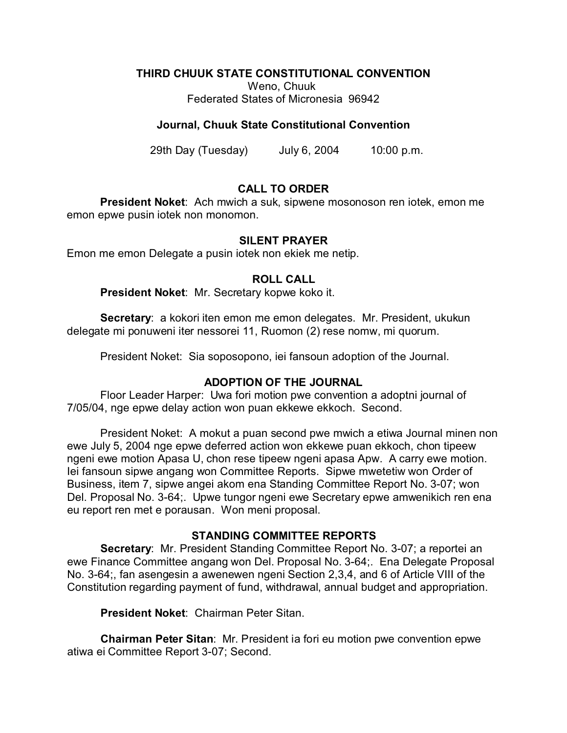## **THIRD CHUUK STATE CONSTITUTIONAL CONVENTION**

Weno, Chuuk Federated States of Micronesia 96942

## **Journal, Chuuk State Constitutional Convention**

29th Day (Tuesday) July 6, 2004 10:00 p.m.

# **CALL TO ORDER**

**President Noket**: Ach mwich a suk, sipwene mosonoson ren iotek, emon me emon epwe pusin iotek non monomon.

# **SILENT PRAYER**

Emon me emon Delegate a pusin iotek non ekiek me netip.

## **ROLL CALL**

**President Noket**: Mr. Secretary kopwe koko it.

**Secretary**: a kokori iten emon me emon delegates. Mr. President, ukukun delegate mi ponuweni iter nessorei 11, Ruomon (2) rese nomw, mi quorum.

President Noket: Sia soposopono, iei fansoun adoption of the Journal.

## **ADOPTION OF THE JOURNAL**

Floor Leader Harper: Uwa fori motion pwe convention a adoptni journal of 7/05/04, nge epwe delay action won puan ekkewe ekkoch. Second.

President Noket: A mokut a puan second pwe mwich a etiwa Journal minen non ewe July 5, 2004 nge epwe deferred action won ekkewe puan ekkoch, chon tipeew ngeni ewe motion Apasa U, chon rese tipeew ngeni apasa Apw. A carry ewe motion. Iei fansoun sipwe angang won Committee Reports. Sipwe mwetetiw won Order of Business, item 7, sipwe angei akom ena Standing Committee Report No. 3-07; won Del. Proposal No. 3-64;. Upwe tungor ngeni ewe Secretary epwe amwenikich ren ena eu report ren met e porausan. Won meni proposal.

## **STANDING COMMITTEE REPORTS**

**Secretary**: Mr. President Standing Committee Report No. 3-07; a reportei an ewe Finance Committee angang won Del. Proposal No. 3-64;. Ena Delegate Proposal No. 3-64;, fan asengesin a awenewen ngeni Section 2,3,4, and 6 of Article VIII of the Constitution regarding payment of fund, withdrawal, annual budget and appropriation.

**President Noket**: Chairman Peter Sitan.

**Chairman Peter Sitan**: Mr. President ia fori eu motion pwe convention epwe atiwa ei Committee Report 3-07; Second.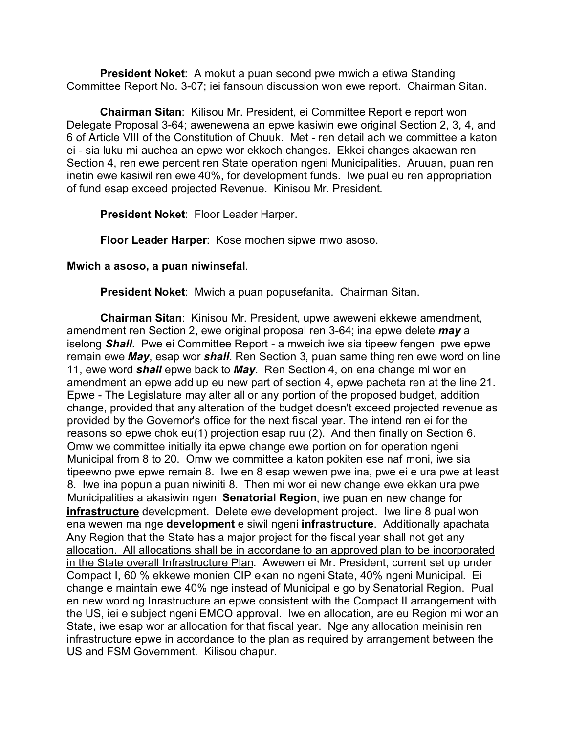**President Noket**: A mokut a puan second pwe mwich a etiwa Standing Committee Report No. 3-07; iei fansoun discussion won ewe report. Chairman Sitan.

**Chairman Sitan**: Kilisou Mr. President, ei Committee Report e report won Delegate Proposal 3-64; awenewena an epwe kasiwin ewe original Section 2, 3, 4, and 6 of Article VIII of the Constitution of Chuuk. Met - ren detail ach we committee a katon ei - sia luku mi auchea an epwe wor ekkoch changes. Ekkei changes akaewan ren Section 4, ren ewe percent ren State operation ngeni Municipalities. Aruuan, puan ren inetin ewe kasiwil ren ewe 40%, for development funds. Iwe pual eu ren appropriation of fund esap exceed projected Revenue. Kinisou Mr. President.

**President Noket**: Floor Leader Harper.

**Floor Leader Harper**: Kose mochen sipwe mwo asoso.

## **Mwich a asoso, a puan niwinsefal**.

**President Noket**: Mwich a puan popusefanita. Chairman Sitan.

**Chairman Sitan**: Kinisou Mr. President, upwe aweweni ekkewe amendment, amendment ren Section 2, ewe original proposal ren 3-64; ina epwe delete *may* a iselong *Shall*. Pwe ei Committee Report - a mweich iwe sia tipeew fengen pwe epwe remain ewe *May*, esap wor *shall*. Ren Section 3, puan same thing ren ewe word on line 11, ewe word *shall* epwe back to *May*. Ren Section 4, on ena change mi wor en amendment an epwe add up eu new part of section 4, epwe pacheta ren at the line 21. Epwe - The Legislature may alter all or any portion of the proposed budget, addition change, provided that any alteration of the budget doesn't exceed projected revenue as provided by the Governor's office for the next fiscal year. The intend ren ei for the reasons so epwe chok eu(1) projection esap ruu (2). And then finally on Section 6. Omw we committee initially ita epwe change ewe portion on for operation ngeni Municipal from 8 to 20. Omw we committee a katon pokiten ese naf moni, iwe sia tipeewno pwe epwe remain 8. Iwe en 8 esap wewen pwe ina, pwe ei e ura pwe at least 8. Iwe ina popun a puan niwiniti 8. Then mi wor ei new change ewe ekkan ura pwe Municipalities a akasiwin ngeni **Senatorial Region**, iwe puan en new change for **infrastructure** development. Delete ewe development project. Iwe line 8 pual won ena wewen ma nge **development** e siwil ngeni **infrastructure**. Additionally apachata Any Region that the State has a major project for the fiscal year shall not get any allocation. All allocations shall be in accordane to an approved plan to be incorporated in the State overall Infrastructure Plan. Awewen ei Mr. President, current set up under Compact I, 60 % ekkewe monien CIP ekan no ngeni State, 40% ngeni Municipal. Ei change e maintain ewe 40% nge instead of Municipal e go by Senatorial Region. Pual en new wording Inrastructure an epwe consistent with the Compact II arrangement with the US, iei e subject ngeni EMCO approval. Iwe en allocation, are eu Region mi wor an State, iwe esap wor ar allocation for that fiscal year. Nge any allocation meinisin ren infrastructure epwe in accordance to the plan as required by arrangement between the US and FSM Government. Kilisou chapur.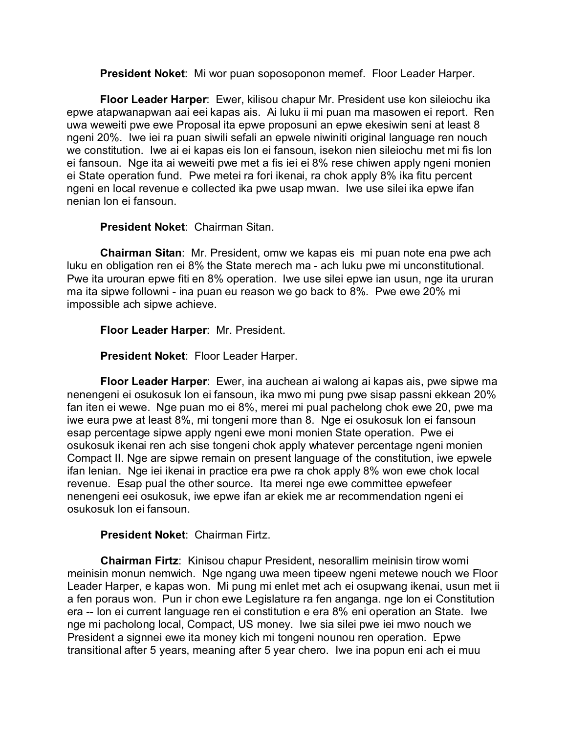**President Noket**: Mi wor puan soposoponon memef. Floor Leader Harper.

**Floor Leader Harper**: Ewer, kilisou chapur Mr. President use kon sileiochu ika epwe atapwanapwan aai eei kapas ais. Ai luku ii mi puan ma masowen ei report. Ren uwa weweiti pwe ewe Proposal ita epwe proposuni an epwe ekesiwin seni at least 8 ngeni 20%. Iwe iei ra puan siwili sefali an epwele niwiniti original language ren nouch we constitution. Iwe ai ei kapas eis lon ei fansoun, isekon nien sileiochu met mi fis lon ei fansoun. Nge ita ai weweiti pwe met a fis iei ei 8% rese chiwen apply ngeni monien ei State operation fund. Pwe metei ra fori ikenai, ra chok apply 8% ika fitu percent ngeni en local revenue e collected ika pwe usap mwan. Iwe use silei ika epwe ifan nenian lon ei fansoun.

## **President Noket**: Chairman Sitan.

**Chairman Sitan**: Mr. President, omw we kapas eis mi puan note ena pwe ach luku en obligation ren ei 8% the State merech ma - ach luku pwe mi unconstitutional. Pwe ita urouran epwe fiti en 8% operation. Iwe use silei epwe ian usun, nge ita ururan ma ita sipwe followni - ina puan eu reason we go back to 8%. Pwe ewe 20% mi impossible ach sipwe achieve.

**Floor Leader Harper**: Mr. President.

**President Noket**: Floor Leader Harper.

**Floor Leader Harper**: Ewer, ina auchean ai walong ai kapas ais, pwe sipwe ma nenengeni ei osukosuk lon ei fansoun, ika mwo mi pung pwe sisap passni ekkean 20% fan iten ei wewe. Nge puan mo ei 8%, merei mi pual pachelong chok ewe 20, pwe ma iwe eura pwe at least 8%, mi tongeni more than 8. Nge ei osukosuk lon ei fansoun esap percentage sipwe apply ngeni ewe moni monien State operation. Pwe ei osukosuk ikenai ren ach sise tongeni chok apply whatever percentage ngeni monien Compact II. Nge are sipwe remain on present language of the constitution, iwe epwele ifan lenian. Nge iei ikenai in practice era pwe ra chok apply 8% won ewe chok local revenue. Esap pual the other source. Ita merei nge ewe committee epwefeer nenengeni eei osukosuk, iwe epwe ifan ar ekiek me ar recommendation ngeni ei osukosuk lon ei fansoun.

**President Noket**: Chairman Firtz.

**Chairman Firtz**: Kinisou chapur President, nesorallim meinisin tirow womi meinisin monun nemwich. Nge ngang uwa meen tipeew ngeni metewe nouch we Floor Leader Harper, e kapas won. Mi pung mi enlet met ach ei osupwang ikenai, usun met ii a fen poraus won. Pun ir chon ewe Legislature ra fen anganga. nge lon ei Constitution era -- lon ei current language ren ei constitution e era 8% eni operation an State. Iwe nge mi pacholong local, Compact, US money. Iwe sia silei pwe iei mwo nouch we President a signnei ewe ita money kich mi tongeni nounou ren operation. Epwe transitional after 5 years, meaning after 5 year chero. Iwe ina popun eni ach ei muu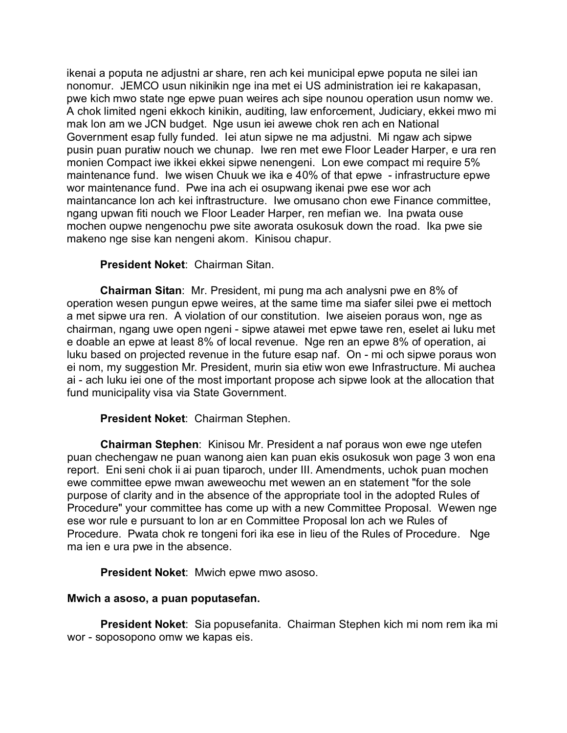ikenai a poputa ne adjustni ar share, ren ach kei municipal epwe poputa ne silei ian nonomur. JEMCO usun nikinikin nge ina met ei US administration iei re kakapasan, pwe kich mwo state nge epwe puan weires ach sipe nounou operation usun nomw we. A chok limited ngeni ekkoch kinikin, auditing, law enforcement, Judiciary, ekkei mwo mi mak lon am we JCN budget. Nge usun iei awewe chok ren ach en National Government esap fully funded. Iei atun sipwe ne ma adjustni. Mi ngaw ach sipwe pusin puan puratiw nouch we chunap. Iwe ren met ewe Floor Leader Harper, e ura ren monien Compact iwe ikkei ekkei sipwe nenengeni. Lon ewe compact mi require 5% maintenance fund. Iwe wisen Chuuk we ika e 40% of that epwe - infrastructure epwe wor maintenance fund. Pwe ina ach ei osupwang ikenai pwe ese wor ach maintancance lon ach kei inftrastructure. Iwe omusano chon ewe Finance committee, ngang upwan fiti nouch we Floor Leader Harper, ren mefian we. Ina pwata ouse mochen oupwe nengenochu pwe site aworata osukosuk down the road. Ika pwe sie makeno nge sise kan nengeni akom. Kinisou chapur.

## **President Noket**: Chairman Sitan.

**Chairman Sitan**: Mr. President, mi pung ma ach analysni pwe en 8% of operation wesen pungun epwe weires, at the same time ma siafer silei pwe ei mettoch a met sipwe ura ren. A violation of our constitution. Iwe aiseien poraus won, nge as chairman, ngang uwe open ngeni - sipwe atawei met epwe tawe ren, eselet ai luku met e doable an epwe at least 8% of local revenue. Nge ren an epwe 8% of operation, ai luku based on projected revenue in the future esap naf. On - mi och sipwe poraus won ei nom, my suggestion Mr. President, murin sia etiw won ewe Infrastructure. Mi auchea ai - ach luku iei one of the most important propose ach sipwe look at the allocation that fund municipality visa via State Government.

## **President Noket**: Chairman Stephen.

**Chairman Stephen**: Kinisou Mr. President a naf poraus won ewe nge utefen puan chechengaw ne puan wanong aien kan puan ekis osukosuk won page 3 won ena report. Eni seni chok ii ai puan tiparoch, under III. Amendments, uchok puan mochen ewe committee epwe mwan aweweochu met wewen an en statement "for the sole purpose of clarity and in the absence of the appropriate tool in the adopted Rules of Procedure" your committee has come up with a new Committee Proposal. Wewen nge ese wor rule e pursuant to lon ar en Committee Proposal lon ach we Rules of Procedure. Pwata chok re tongeni fori ika ese in lieu of the Rules of Procedure. Nge ma ien e ura pwe in the absence.

## **President Noket**: Mwich epwe mwo asoso.

## **Mwich a asoso, a puan poputasefan.**

**President Noket**: Sia popusefanita. Chairman Stephen kich mi nom rem ika mi wor - soposopono omw we kapas eis.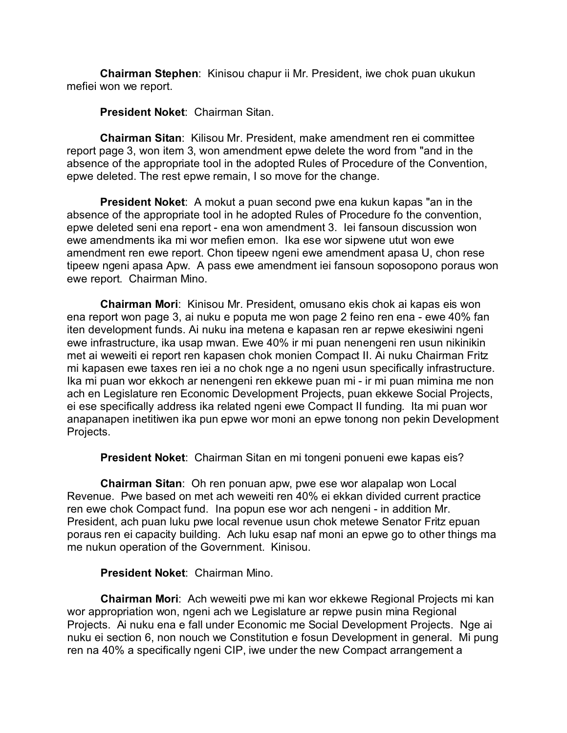**Chairman Stephen**: Kinisou chapur ii Mr. President, iwe chok puan ukukun mefiei won we report.

**President Noket**: Chairman Sitan.

**Chairman Sitan**: Kilisou Mr. President, make amendment ren ei committee report page 3, won item 3, won amendment epwe delete the word from "and in the absence of the appropriate tool in the adopted Rules of Procedure of the Convention, epwe deleted. The rest epwe remain, I so move for the change.

**President Noket**: A mokut a puan second pwe ena kukun kapas "an in the absence of the appropriate tool in he adopted Rules of Procedure fo the convention, epwe deleted seni ena report - ena won amendment 3. Iei fansoun discussion won ewe amendments ika mi wor mefien emon. Ika ese wor sipwene utut won ewe amendment ren ewe report. Chon tipeew ngeni ewe amendment apasa U, chon rese tipeew ngeni apasa Apw. A pass ewe amendment iei fansoun soposopono poraus won ewe report. Chairman Mino.

**Chairman Mori**: Kinisou Mr. President, omusano ekis chok ai kapas eis won ena report won page 3, ai nuku e poputa me won page 2 feino ren ena - ewe 40% fan iten development funds. Ai nuku ina metena e kapasan ren ar repwe ekesiwini ngeni ewe infrastructure, ika usap mwan. Ewe 40% ir mi puan nenengeni ren usun nikinikin met ai weweiti ei report ren kapasen chok monien Compact II. Ai nuku Chairman Fritz mi kapasen ewe taxes ren iei a no chok nge a no ngeni usun specifically infrastructure. Ika mi puan wor ekkoch ar nenengeni ren ekkewe puan mi - ir mi puan mimina me non ach en Legislature ren Economic Development Projects, puan ekkewe Social Projects, ei ese specifically address ika related ngeni ewe Compact II funding. Ita mi puan wor anapanapen inetitiwen ika pun epwe wor moni an epwe tonong non pekin Development Projects.

**President Noket**: Chairman Sitan en mi tongeni ponueni ewe kapas eis?

**Chairman Sitan**: Oh ren ponuan apw, pwe ese wor alapalap won Local Revenue. Pwe based on met ach weweiti ren 40% ei ekkan divided current practice ren ewe chok Compact fund. Ina popun ese wor ach nengeni - in addition Mr. President, ach puan luku pwe local revenue usun chok metewe Senator Fritz epuan poraus ren ei capacity building. Ach luku esap naf moni an epwe go to other things ma me nukun operation of the Government. Kinisou.

## **President Noket**: Chairman Mino.

**Chairman Mori**: Ach weweiti pwe mi kan wor ekkewe Regional Projects mi kan wor appropriation won, ngeni ach we Legislature ar repwe pusin mina Regional Projects. Ai nuku ena e fall under Economic me Social Development Projects. Nge ai nuku ei section 6, non nouch we Constitution e fosun Development in general. Mi pung ren na 40% a specifically ngeni CIP, iwe under the new Compact arrangement a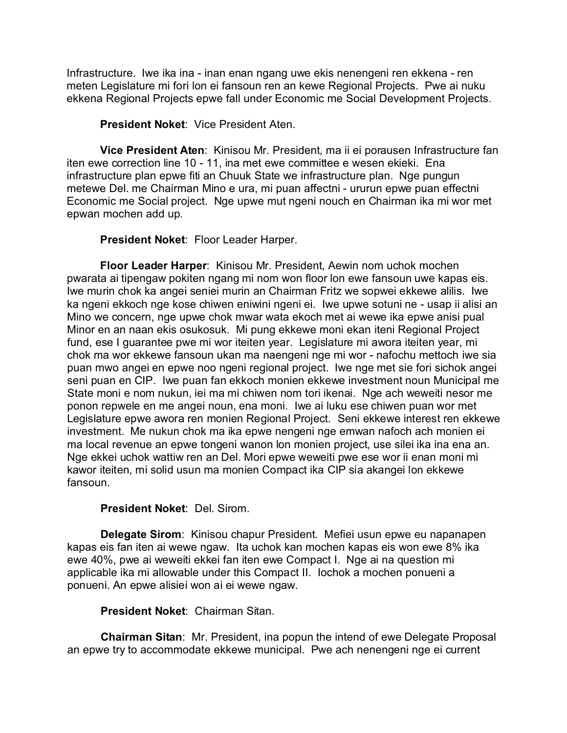Infrastructure. Iwe ika ina - inan enan ngang uwe ekis nenengeni ren ekkena - ren meten Legislature mi fori lon ei fansoun ren an kewe Regional Projects. Pwe ai nuku ekkena Regional Projects epwe fall under Economic me Social Development Projects.

**President Noket**: Vice President Aten.

**Vice President Aten**: Kinisou Mr. President, ma ii ei porausen Infrastructure fan iten ewe correction line 10 - 11, ina met ewe committee e wesen ekieki. Ena infrastructure plan epwe fiti an Chuuk State we infrastructure plan. Nge pungun metewe Del. me Chairman Mino e ura, mi puan affectni - ururun epwe puan effectni Economic me Social project. Nge upwe mut ngeni nouch en Chairman ika mi wor met epwan mochen add up.

**President Noket**: Floor Leader Harper.

**Floor Leader Harper**: Kinisou Mr. President, Aewin nom uchok mochen pwarata ai tipengaw pokiten ngang mi nom won floor lon ewe fansoun uwe kapas eis. Iwe murin chok ka angei seniei murin an Chairman Fritz we sopwei ekkewe alilis. Iwe ka ngeni ekkoch nge kose chiwen eniwini ngeni ei. Iwe upwe sotuni ne - usap ii alisi an Mino we concern, nge upwe chok mwar wata ekoch met ai wewe ika epwe anisi pual Minor en an naan ekis osukosuk. Mi pung ekkewe moni ekan iteni Regional Project fund, ese I guarantee pwe mi wor iteiten year. Legislature mi awora iteiten year, mi chok ma wor ekkewe fansoun ukan ma naengeni nge mi wor - nafochu mettoch iwe sia puan mwo angei en epwe noo ngeni regional project. Iwe nge met sie fori sichok angei seni puan en CIP. Iwe puan fan ekkoch monien ekkewe investment noun Municipal me State moni e nom nukun, iei ma mi chiwen nom tori ikenai. Nge ach weweiti nesor me ponon repwele en me angei noun, ena moni. Iwe ai luku ese chiwen puan wor met Legislature epwe awora ren monien Regional Project. Seni ekkewe interest ren ekkewe investment. Me nukun chok ma ika epwe nengeni nge emwan nafoch ach monien ei ma local revenue an epwe tongeni wanon lon monien project, use silei ika ina ena an. Nge ekkei uchok wattiw ren an Del. Mori epwe weweiti pwe ese wor ii enan moni mi kawor iteiten, mi solid usun ma monien Compact ika CIP sia akangei lon ekkewe fansoun.

## **President Noket**: Del. Sirom.

**Delegate Sirom**: Kinisou chapur President. Mefiei usun epwe eu napanapen kapas eis fan iten ai wewe ngaw. Ita uchok kan mochen kapas eis won ewe 8% ika ewe 40%, pwe ai weweiti ekkei fan iten ewe Compact I. Nge ai na question mi applicable ika mi allowable under this Compact II. Iochok a mochen ponueni a ponueni. An epwe alisiei won ai ei wewe ngaw.

# **President Noket**: Chairman Sitan.

**Chairman Sitan**: Mr. President, ina popun the intend of ewe Delegate Proposal an epwe try to accommodate ekkewe municipal. Pwe ach nenengeni nge ei current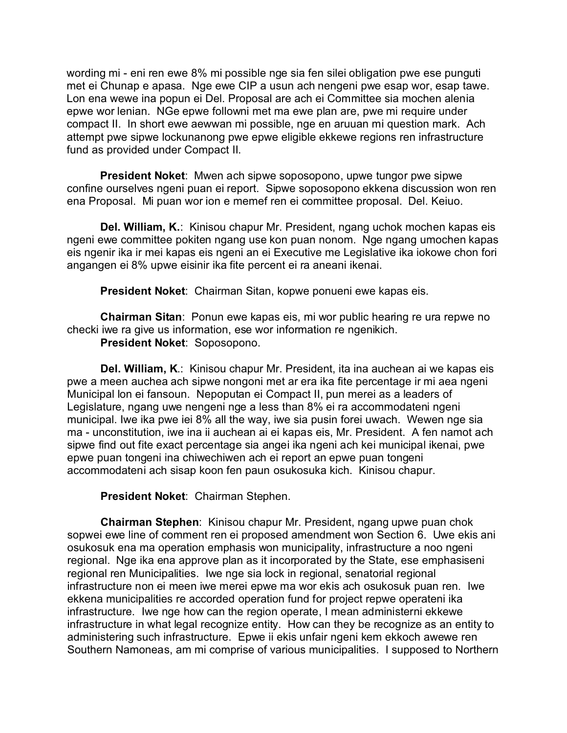wording mi - eni ren ewe 8% mi possible nge sia fen silei obligation pwe ese punguti met ei Chunap e apasa. Nge ewe CIP a usun ach nengeni pwe esap wor, esap tawe. Lon ena wewe ina popun ei Del. Proposal are ach ei Committee sia mochen alenia epwe wor lenian. NGe epwe followni met ma ewe plan are, pwe mi require under compact II. In short ewe aewwan mi possible, nge en aruuan mi question mark. Ach attempt pwe sipwe lockunanong pwe epwe eligible ekkewe regions ren infrastructure fund as provided under Compact II.

**President Noket**: Mwen ach sipwe soposopono, upwe tungor pwe sipwe confine ourselves ngeni puan ei report. Sipwe soposopono ekkena discussion won ren ena Proposal. Mi puan wor ion e memef ren ei committee proposal. Del. Keiuo.

**Del. William, K.**: Kinisou chapur Mr. President, ngang uchok mochen kapas eis ngeni ewe committee pokiten ngang use kon puan nonom. Nge ngang umochen kapas eis ngenir ika ir mei kapas eis ngeni an ei Executive me Legislative ika iokowe chon fori angangen ei 8% upwe eisinir ika fite percent ei ra aneani ikenai.

**President Noket**: Chairman Sitan, kopwe ponueni ewe kapas eis.

**Chairman Sitan**: Ponun ewe kapas eis, mi wor public hearing re ura repwe no checki iwe ra give us information, ese wor information re ngenikich.

**President Noket**: Soposopono.

**Del. William, K**.: Kinisou chapur Mr. President, ita ina auchean ai we kapas eis pwe a meen auchea ach sipwe nongoni met ar era ika fite percentage ir mi aea ngeni Municipal lon ei fansoun. Nepoputan ei Compact II, pun merei as a leaders of Legislature, ngang uwe nengeni nge a less than 8% ei ra accommodateni ngeni municipal. Iwe ika pwe iei 8% all the way, iwe sia pusin forei uwach. Wewen nge sia ma - unconstitution, iwe ina ii auchean ai ei kapas eis, Mr. President. A fen namot ach sipwe find out fite exact percentage sia angei ika ngeni ach kei municipal ikenai, pwe epwe puan tongeni ina chiwechiwen ach ei report an epwe puan tongeni accommodateni ach sisap koon fen paun osukosuka kich. Kinisou chapur.

**President Noket**: Chairman Stephen.

**Chairman Stephen**: Kinisou chapur Mr. President, ngang upwe puan chok sopwei ewe line of comment ren ei proposed amendment won Section 6. Uwe ekis ani osukosuk ena ma operation emphasis won municipality, infrastructure a noo ngeni regional. Nge ika ena approve plan as it incorporated by the State, ese emphasiseni regional ren Municipalities. Iwe nge sia lock in regional, senatorial regional infrastructure non ei meen iwe merei epwe ma wor ekis ach osukosuk puan ren. Iwe ekkena municipalities re accorded operation fund for project repwe operateni ika infrastructure. Iwe nge how can the region operate, I mean administerni ekkewe infrastructure in what legal recognize entity. How can they be recognize as an entity to administering such infrastructure. Epwe ii ekis unfair ngeni kem ekkoch awewe ren Southern Namoneas, am mi comprise of various municipalities. I supposed to Northern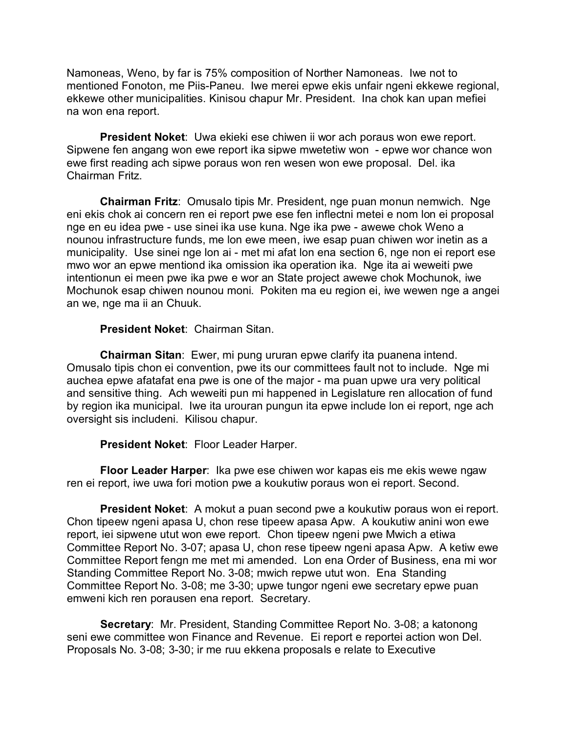Namoneas, Weno, by far is 75% composition of Norther Namoneas. Iwe not to mentioned Fonoton, me Piis-Paneu. Iwe merei epwe ekis unfair ngeni ekkewe regional, ekkewe other municipalities. Kinisou chapur Mr. President. Ina chok kan upan mefiei na won ena report.

**President Noket**: Uwa ekieki ese chiwen ii wor ach poraus won ewe report. Sipwene fen angang won ewe report ika sipwe mwetetiw won - epwe wor chance won ewe first reading ach sipwe poraus won ren wesen won ewe proposal. Del. ika Chairman Fritz.

**Chairman Fritz**: Omusalo tipis Mr. President, nge puan monun nemwich. Nge eni ekis chok ai concern ren ei report pwe ese fen inflectni metei e nom lon ei proposal nge en eu idea pwe - use sinei ika use kuna. Nge ika pwe - awewe chok Weno a nounou infrastructure funds, me lon ewe meen, iwe esap puan chiwen wor inetin as a municipality. Use sinei nge lon ai - met mi afat lon ena section 6, nge non ei report ese mwo wor an epwe mentiond ika omission ika operation ika. Nge ita ai weweiti pwe intentionun ei meen pwe ika pwe e wor an State project awewe chok Mochunok, iwe Mochunok esap chiwen nounou moni. Pokiten ma eu region ei, iwe wewen nge a angei an we, nge ma ii an Chuuk.

## **President Noket**: Chairman Sitan.

**Chairman Sitan**: Ewer, mi pung ururan epwe clarify ita puanena intend. Omusalo tipis chon ei convention, pwe its our committees fault not to include. Nge mi auchea epwe afatafat ena pwe is one of the major - ma puan upwe ura very political and sensitive thing. Ach weweiti pun mi happened in Legislature ren allocation of fund by region ika municipal. Iwe ita urouran pungun ita epwe include lon ei report, nge ach oversight sis includeni. Kilisou chapur.

**President Noket**: Floor Leader Harper.

**Floor Leader Harper**: Ika pwe ese chiwen wor kapas eis me ekis wewe ngaw ren ei report, iwe uwa fori motion pwe a koukutiw poraus won ei report. Second.

**President Noket**: A mokut a puan second pwe a koukutiw poraus won ei report. Chon tipeew ngeni apasa U, chon rese tipeew apasa Apw. A koukutiw anini won ewe report, iei sipwene utut won ewe report. Chon tipeew ngeni pwe Mwich a etiwa Committee Report No. 3-07; apasa U, chon rese tipeew ngeni apasa Apw. A ketiw ewe Committee Report fengn me met mi amended. Lon ena Order of Business, ena mi wor Standing Committee Report No. 3-08; mwich repwe utut won. Ena Standing Committee Report No. 3-08; me 3-30; upwe tungor ngeni ewe secretary epwe puan emweni kich ren porausen ena report. Secretary.

**Secretary**: Mr. President, Standing Committee Report No. 3-08; a katonong seni ewe committee won Finance and Revenue. Ei report e reportei action won Del. Proposals No. 3-08; 3-30; ir me ruu ekkena proposals e relate to Executive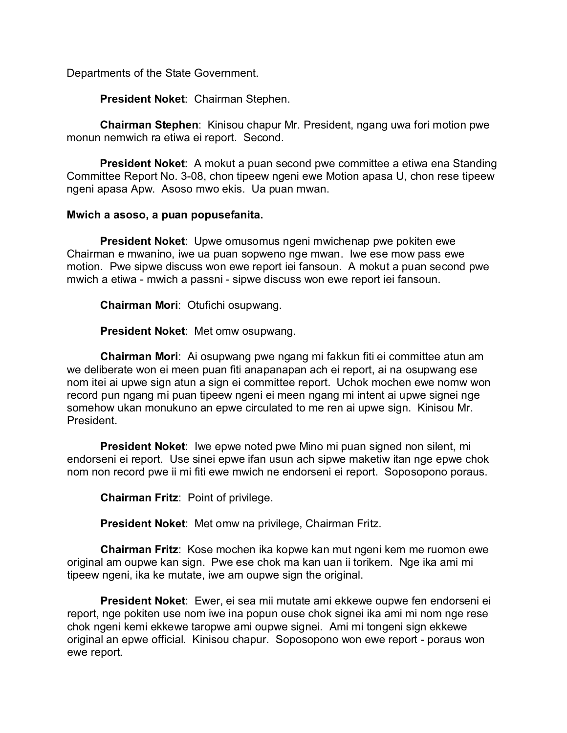Departments of the State Government.

**President Noket**: Chairman Stephen.

**Chairman Stephen**: Kinisou chapur Mr. President, ngang uwa fori motion pwe monun nemwich ra etiwa ei report. Second.

**President Noket**: A mokut a puan second pwe committee a etiwa ena Standing Committee Report No. 3-08, chon tipeew ngeni ewe Motion apasa U, chon rese tipeew ngeni apasa Apw. Asoso mwo ekis. Ua puan mwan.

## **Mwich a asoso, a puan popusefanita.**

**President Noket**: Upwe omusomus ngeni mwichenap pwe pokiten ewe Chairman e mwanino, iwe ua puan sopweno nge mwan. Iwe ese mow pass ewe motion. Pwe sipwe discuss won ewe report iei fansoun. A mokut a puan second pwe mwich a etiwa - mwich a passni - sipwe discuss won ewe report iei fansoun.

**Chairman Mori**: Otufichi osupwang.

**President Noket**: Met omw osupwang.

**Chairman Mori**: Ai osupwang pwe ngang mi fakkun fiti ei committee atun am we deliberate won ei meen puan fiti anapanapan ach ei report, ai na osupwang ese nom itei ai upwe sign atun a sign ei committee report. Uchok mochen ewe nomw won record pun ngang mi puan tipeew ngeni ei meen ngang mi intent ai upwe signei nge somehow ukan monukuno an epwe circulated to me ren ai upwe sign. Kinisou Mr. President.

**President Noket**: Iwe epwe noted pwe Mino mi puan signed non silent, mi endorseni ei report. Use sinei epwe ifan usun ach sipwe maketiw itan nge epwe chok nom non record pwe ii mi fiti ewe mwich ne endorseni ei report. Soposopono poraus.

**Chairman Fritz**: Point of privilege.

**President Noket**: Met omw na privilege, Chairman Fritz.

**Chairman Fritz**: Kose mochen ika kopwe kan mut ngeni kem me ruomon ewe original am oupwe kan sign. Pwe ese chok ma kan uan ii torikem. Nge ika ami mi tipeew ngeni, ika ke mutate, iwe am oupwe sign the original.

**President Noket**: Ewer, ei sea mii mutate ami ekkewe oupwe fen endorseni ei report, nge pokiten use nom iwe ina popun ouse chok signei ika ami mi nom nge rese chok ngeni kemi ekkewe taropwe ami oupwe signei. Ami mi tongeni sign ekkewe original an epwe official. Kinisou chapur. Soposopono won ewe report - poraus won ewe report.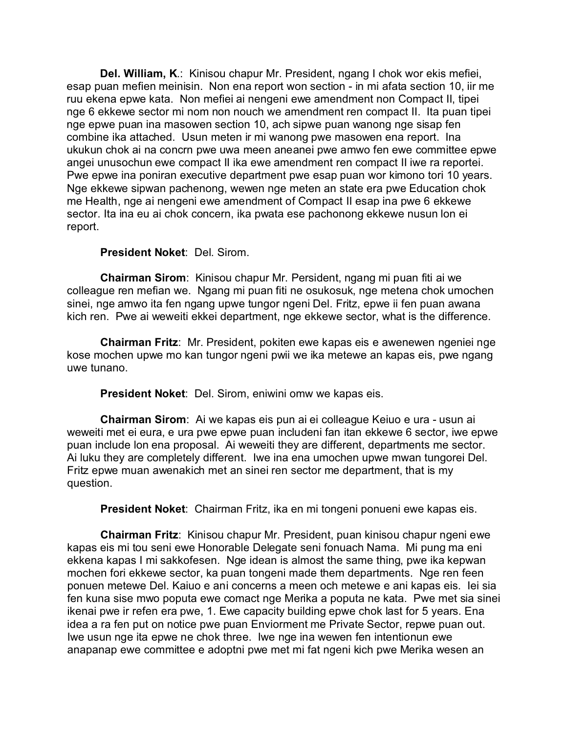**Del. William, K**.: Kinisou chapur Mr. President, ngang I chok wor ekis mefiei, esap puan mefien meinisin. Non ena report won section - in mi afata section 10, iir me ruu ekena epwe kata. Non mefiei ai nengeni ewe amendment non Compact II, tipei nge 6 ekkewe sector mi nom non nouch we amendment ren compact II. Ita puan tipei nge epwe puan ina masowen section 10, ach sipwe puan wanong nge sisap fen combine ika attached. Usun meten ir mi wanong pwe masowen ena report. Ina ukukun chok ai na concrn pwe uwa meen aneanei pwe amwo fen ewe committee epwe angei unusochun ewe compact II ika ewe amendment ren compact II iwe ra reportei. Pwe epwe ina poniran executive department pwe esap puan wor kimono tori 10 years. Nge ekkewe sipwan pachenong, wewen nge meten an state era pwe Education chok me Health, nge ai nengeni ewe amendment of Compact II esap ina pwe 6 ekkewe sector. Ita ina eu ai chok concern, ika pwata ese pachonong ekkewe nusun lon ei report.

#### **President Noket**: Del. Sirom.

**Chairman Sirom**: Kinisou chapur Mr. Persident, ngang mi puan fiti ai we colleague ren mefian we. Ngang mi puan fiti ne osukosuk, nge metena chok umochen sinei, nge amwo ita fen ngang upwe tungor ngeni Del. Fritz, epwe ii fen puan awana kich ren. Pwe ai weweiti ekkei department, nge ekkewe sector, what is the difference.

**Chairman Fritz**: Mr. President, pokiten ewe kapas eis e awenewen ngeniei nge kose mochen upwe mo kan tungor ngeni pwii we ika metewe an kapas eis, pwe ngang uwe tunano.

**President Noket**: Del. Sirom, eniwini omw we kapas eis.

**Chairman Sirom**: Ai we kapas eis pun ai ei colleague Keiuo e ura - usun ai weweiti met ei eura, e ura pwe epwe puan includeni fan itan ekkewe 6 sector, iwe epwe puan include lon ena proposal. Ai weweiti they are different, departments me sector. Ai luku they are completely different. Iwe ina ena umochen upwe mwan tungorei Del. Fritz epwe muan awenakich met an sinei ren sector me department, that is my question.

**President Noket**: Chairman Fritz, ika en mi tongeni ponueni ewe kapas eis.

**Chairman Fritz**: Kinisou chapur Mr. President, puan kinisou chapur ngeni ewe kapas eis mi tou seni ewe Honorable Delegate seni fonuach Nama. Mi pung ma eni ekkena kapas I mi sakkofesen. Nge idean is almost the same thing, pwe ika kepwan mochen fori ekkewe sector, ka puan tongeni made them departments. Nge ren feen ponuen metewe Del. Kaiuo e ani concerns a meen och metewe e ani kapas eis. Iei sia fen kuna sise mwo poputa ewe comact nge Merika a poputa ne kata. Pwe met sia sinei ikenai pwe ir refen era pwe, 1. Ewe capacity building epwe chok last for 5 years. Ena idea a ra fen put on notice pwe puan Enviorment me Private Sector, repwe puan out. Iwe usun nge ita epwe ne chok three. Iwe nge ina wewen fen intentionun ewe anapanap ewe committee e adoptni pwe met mi fat ngeni kich pwe Merika wesen an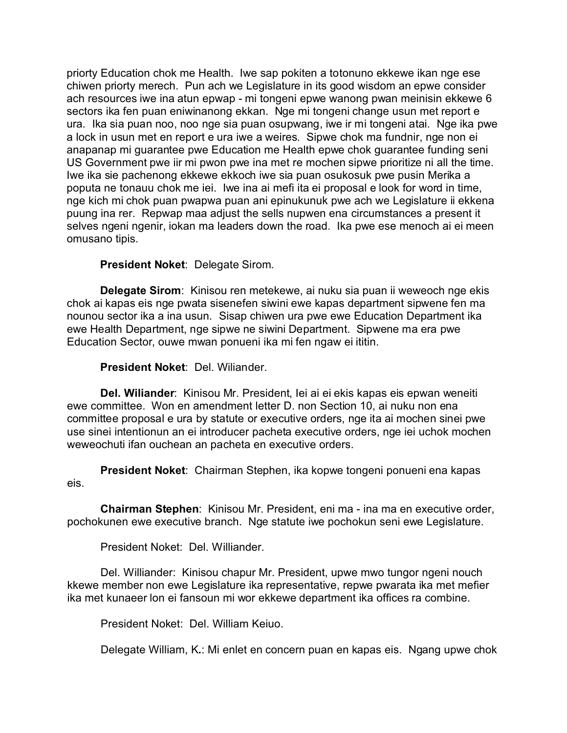priorty Education chok me Health. Iwe sap pokiten a totonuno ekkewe ikan nge ese chiwen priorty merech. Pun ach we Legislature in its good wisdom an epwe consider ach resources iwe ina atun epwap - mi tongeni epwe wanong pwan meinisin ekkewe 6 sectors ika fen puan eniwinanong ekkan. Nge mi tongeni change usun met report e ura. Ika sia puan noo, noo nge sia puan osupwang, iwe ir mi tongeni atai. Nge ika pwe a lock in usun met en report e ura iwe a weires. Sipwe chok ma fundnir, nge non ei anapanap mi guarantee pwe Education me Health epwe chok guarantee funding seni US Government pwe iir mi pwon pwe ina met re mochen sipwe prioritize ni all the time. Iwe ika sie pachenong ekkewe ekkoch iwe sia puan osukosuk pwe pusin Merika a poputa ne tonauu chok me iei. Iwe ina ai mefi ita ei proposal e look for word in time, nge kich mi chok puan pwapwa puan ani epinukunuk pwe ach we Legislature ii ekkena puung ina rer. Repwap maa adjust the sells nupwen ena circumstances a present it selves ngeni ngenir, iokan ma leaders down the road. Ika pwe ese menoch ai ei meen omusano tipis.

# **President Noket**: Delegate Sirom.

**Delegate Sirom**: Kinisou ren metekewe, ai nuku sia puan ii weweoch nge ekis chok ai kapas eis nge pwata sisenefen siwini ewe kapas department sipwene fen ma nounou sector ika a ina usun. Sisap chiwen ura pwe ewe Education Department ika ewe Health Department, nge sipwe ne siwini Department. Sipwene ma era pwe Education Sector, ouwe mwan ponueni ika mi fen ngaw ei ititin.

## **President Noket**: Del. Wiliander.

**Del. Wiliander**: Kinisou Mr. President, Iei ai ei ekis kapas eis epwan weneiti ewe committee. Won en amendment letter D. non Section 10, ai nuku non ena committee proposal e ura by statute or executive orders, nge ita ai mochen sinei pwe use sinei intentionun an ei introducer pacheta executive orders, nge iei uchok mochen weweochuti ifan ouchean an pacheta en executive orders.

**President Noket**: Chairman Stephen, ika kopwe tongeni ponueni ena kapas eis.

**Chairman Stephen**: Kinisou Mr. President, eni ma - ina ma en executive order, pochokunen ewe executive branch. Nge statute iwe pochokun seni ewe Legislature.

President Noket: Del. Williander.

Del. Williander: Kinisou chapur Mr. President, upwe mwo tungor ngeni nouch kkewe member non ewe Legislature ika representative, repwe pwarata ika met mefier ika met kunaeer lon ei fansoun mi wor ekkewe department ika offices ra combine.

President Noket: Del. William Keiuo.

Delegate William, K**.**: Mi enlet en concern puan en kapas eis. Ngang upwe chok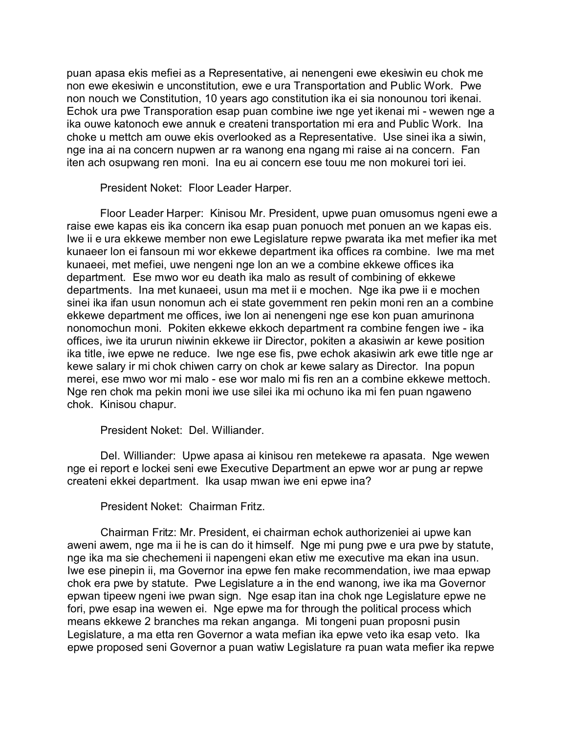puan apasa ekis mefiei as a Representative, ai nenengeni ewe ekesiwin eu chok me non ewe ekesiwin e unconstitution, ewe e ura Transportation and Public Work. Pwe non nouch we Constitution, 10 years ago constitution ika ei sia nonounou tori ikenai. Echok ura pwe Transporation esap puan combine iwe nge yet ikenai mi - wewen nge a ika ouwe katonoch ewe annuk e createni transportation mi era and Public Work. Ina choke u mettch am ouwe ekis overlooked as a Representative. Use sinei ika a siwin, nge ina ai na concern nupwen ar ra wanong ena ngang mi raise ai na concern. Fan iten ach osupwang ren moni. Ina eu ai concern ese touu me non mokurei tori iei.

President Noket: Floor Leader Harper.

Floor Leader Harper: Kinisou Mr. President, upwe puan omusomus ngeni ewe a raise ewe kapas eis ika concern ika esap puan ponuoch met ponuen an we kapas eis. Iwe ii e ura ekkewe member non ewe Legislature repwe pwarata ika met mefier ika met kunaeer lon ei fansoun mi wor ekkewe department ika offices ra combine. Iwe ma met kunaeei, met mefiei, uwe nengeni nge lon an we a combine ekkewe offices ika department. Ese mwo wor eu death ika malo as result of combining of ekkewe departments. Ina met kunaeei, usun ma met ii e mochen. Nge ika pwe ii e mochen sinei ika ifan usun nonomun ach ei state government ren pekin moni ren an a combine ekkewe department me offices, iwe lon ai nenengeni nge ese kon puan amurinona nonomochun moni. Pokiten ekkewe ekkoch department ra combine fengen iwe - ika offices, iwe ita ururun niwinin ekkewe iir Director, pokiten a akasiwin ar kewe position ika title, iwe epwe ne reduce. Iwe nge ese fis, pwe echok akasiwin ark ewe title nge ar kewe salary ir mi chok chiwen carry on chok ar kewe salary as Director. Ina popun merei, ese mwo wor mi malo - ese wor malo mi fis ren an a combine ekkewe mettoch. Nge ren chok ma pekin moni iwe use silei ika mi ochuno ika mi fen puan ngaweno chok. Kinisou chapur.

President Noket: Del. Williander.

Del. Williander: Upwe apasa ai kinisou ren metekewe ra apasata. Nge wewen nge ei report e lockei seni ewe Executive Department an epwe wor ar pung ar repwe createni ekkei department. Ika usap mwan iwe eni epwe ina?

President Noket: Chairman Fritz.

Chairman Fritz: Mr. President, ei chairman echok authorizeniei ai upwe kan aweni awem, nge ma ii he is can do it himself. Nge mi pung pwe e ura pwe by statute, nge ika ma sie chechemeni ii napengeni ekan etiw me executive ma ekan ina usun. Iwe ese pinepin ii, ma Governor ina epwe fen make recommendation, iwe maa epwap chok era pwe by statute. Pwe Legislature a in the end wanong, iwe ika ma Governor epwan tipeew ngeni iwe pwan sign. Nge esap itan ina chok nge Legislature epwe ne fori, pwe esap ina wewen ei. Nge epwe ma for through the political process which means ekkewe 2 branches ma rekan anganga. Mi tongeni puan proposni pusin Legislature, a ma etta ren Governor a wata mefian ika epwe veto ika esap veto. Ika epwe proposed seni Governor a puan watiw Legislature ra puan wata mefier ika repwe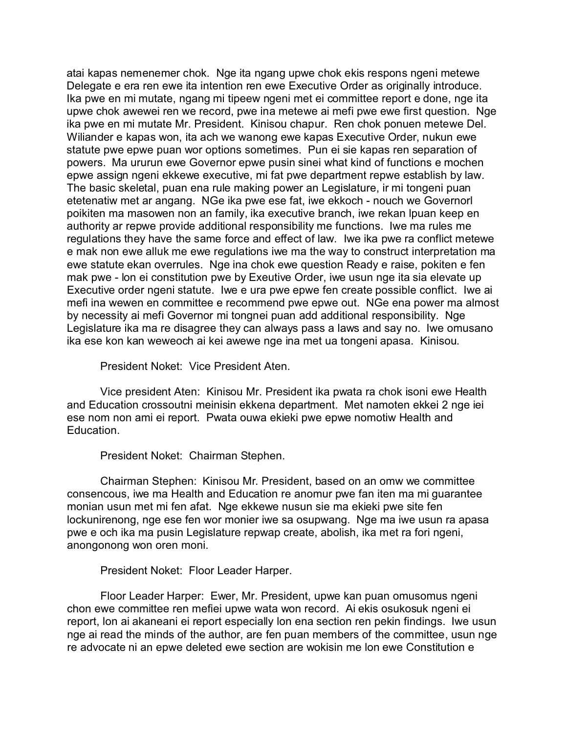atai kapas nemenemer chok. Nge ita ngang upwe chok ekis respons ngeni metewe Delegate e era ren ewe ita intention ren ewe Executive Order as originally introduce. Ika pwe en mi mutate, ngang mi tipeew ngeni met ei committee report e done, nge ita upwe chok awewei ren we record, pwe ina metewe ai mefi pwe ewe first question. Nge ika pwe en mi mutate Mr. President. Kinisou chapur. Ren chok ponuen metewe Del. Wiliander e kapas won, ita ach we wanong ewe kapas Executive Order, nukun ewe statute pwe epwe puan wor options sometimes. Pun ei sie kapas ren separation of powers. Ma ururun ewe Governor epwe pusin sinei what kind of functions e mochen epwe assign ngeni ekkewe executive, mi fat pwe department repwe establish by law. The basic skeletal, puan ena rule making power an Legislature, ir mi tongeni puan etetenatiw met ar angang. NGe ika pwe ese fat, iwe ekkoch - nouch we Governorl poikiten ma masowen non an family, ika executive branch, iwe rekan lpuan keep en authority ar repwe provide additional responsibility me functions. Iwe ma rules me regulations they have the same force and effect of law. Iwe ika pwe ra conflict metewe e mak non ewe alluk me ewe regulations iwe ma the way to construct interpretation ma ewe statute ekan overrules. Nge ina chok ewe question Ready e raise, pokiten e fen mak pwe - lon ei constitution pwe by Exeutive Order, iwe usun nge ita sia elevate up Executive order ngeni statute. Iwe e ura pwe epwe fen create possible conflict. Iwe ai mefi ina wewen en committee e recommend pwe epwe out. NGe ena power ma almost by necessity ai mefi Governor mi tongnei puan add additional responsibility. Nge Legislature ika ma re disagree they can always pass a laws and say no. Iwe omusano ika ese kon kan weweoch ai kei awewe nge ina met ua tongeni apasa. Kinisou.

President Noket: Vice President Aten.

Vice president Aten: Kinisou Mr. President ika pwata ra chok isoni ewe Health and Education crossoutni meinisin ekkena department. Met namoten ekkei 2 nge iei ese nom non ami ei report. Pwata ouwa ekieki pwe epwe nomotiw Health and Education.

President Noket: Chairman Stephen.

Chairman Stephen: Kinisou Mr. President, based on an omw we committee consencous, iwe ma Health and Education re anomur pwe fan iten ma mi guarantee monian usun met mi fen afat. Nge ekkewe nusun sie ma ekieki pwe site fen lockunirenong, nge ese fen wor monier iwe sa osupwang. Nge ma iwe usun ra apasa pwe e och ika ma pusin Legislature repwap create, abolish, ika met ra fori ngeni, anongonong won oren moni.

President Noket: Floor Leader Harper.

Floor Leader Harper: Ewer, Mr. President, upwe kan puan omusomus ngeni chon ewe committee ren mefiei upwe wata won record. Ai ekis osukosuk ngeni ei report, lon ai akaneani ei report especially lon ena section ren pekin findings. Iwe usun nge ai read the minds of the author, are fen puan members of the committee, usun nge re advocate ni an epwe deleted ewe section are wokisin me lon ewe Constitution e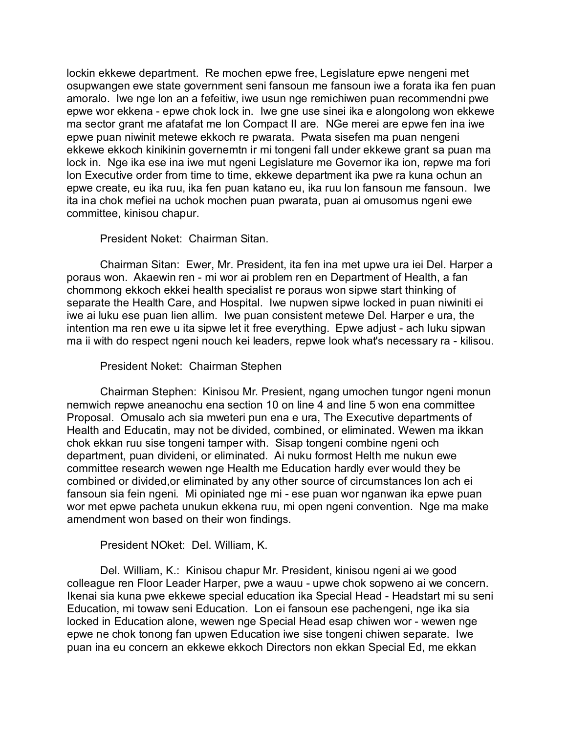lockin ekkewe department. Re mochen epwe free, Legislature epwe nengeni met osupwangen ewe state government seni fansoun me fansoun iwe a forata ika fen puan amoralo. Iwe nge lon an a fefeitiw, iwe usun nge remichiwen puan recommendni pwe epwe wor ekkena - epwe chok lock in. Iwe gne use sinei ika e alongolong won ekkewe ma sector grant me afatafat me lon Compact II are. NGe merei are epwe fen ina iwe epwe puan niwinit metewe ekkoch re pwarata. Pwata sisefen ma puan nengeni ekkewe ekkoch kinikinin governemtn ir mi tongeni fall under ekkewe grant sa puan ma lock in. Nge ika ese ina iwe mut ngeni Legislature me Governor ika ion, repwe ma fori lon Executive order from time to time, ekkewe department ika pwe ra kuna ochun an epwe create, eu ika ruu, ika fen puan katano eu, ika ruu lon fansoun me fansoun. Iwe ita ina chok mefiei na uchok mochen puan pwarata, puan ai omusomus ngeni ewe committee, kinisou chapur.

## President Noket: Chairman Sitan.

Chairman Sitan: Ewer, Mr. President, ita fen ina met upwe ura iei Del. Harper a poraus won. Akaewin ren - mi wor ai problem ren en Department of Health, a fan chommong ekkoch ekkei health specialist re poraus won sipwe start thinking of separate the Health Care, and Hospital. Iwe nupwen sipwe locked in puan niwiniti ei iwe ai luku ese puan lien allim. Iwe puan consistent metewe Del. Harper e ura, the intention ma ren ewe u ita sipwe let it free everything. Epwe adjust - ach luku sipwan ma ii with do respect ngeni nouch kei leaders, repwe look what's necessary ra - kilisou.

## President Noket: Chairman Stephen

Chairman Stephen: Kinisou Mr. Presient, ngang umochen tungor ngeni monun nemwich repwe aneanochu ena section 10 on line 4 and line 5 won ena committee Proposal. Omusalo ach sia mweteri pun ena e ura, The Executive departments of Health and Educatin, may not be divided, combined, or eliminated. Wewen ma ikkan chok ekkan ruu sise tongeni tamper with. Sisap tongeni combine ngeni och department, puan divideni, or eliminated. Ai nuku formost Helth me nukun ewe committee research wewen nge Health me Education hardly ever would they be combined or divided,or eliminated by any other source of circumstances lon ach ei fansoun sia fein ngeni. Mi opiniated nge mi - ese puan wor nganwan ika epwe puan wor met epwe pacheta unukun ekkena ruu, mi open ngeni convention. Nge ma make amendment won based on their won findings.

## President NOket: Del. William, K.

Del. William, K.: Kinisou chapur Mr. President, kinisou ngeni ai we good colleague ren Floor Leader Harper, pwe a wauu - upwe chok sopweno ai we concern. Ikenai sia kuna pwe ekkewe special education ika Special Head - Headstart mi su seni Education, mi towaw seni Education. Lon ei fansoun ese pachengeni, nge ika sia locked in Education alone, wewen nge Special Head esap chiwen wor - wewen nge epwe ne chok tonong fan upwen Education iwe sise tongeni chiwen separate. Iwe puan ina eu concern an ekkewe ekkoch Directors non ekkan Special Ed, me ekkan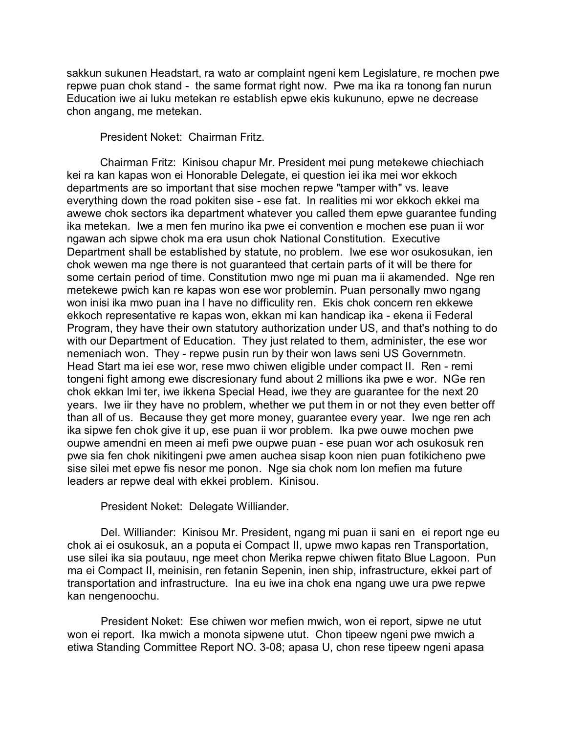sakkun sukunen Headstart, ra wato ar complaint ngeni kem Legislature, re mochen pwe repwe puan chok stand - the same format right now. Pwe ma ika ra tonong fan nurun Education iwe ai luku metekan re establish epwe ekis kukununo, epwe ne decrease chon angang, me metekan.

President Noket: Chairman Fritz.

Chairman Fritz: Kinisou chapur Mr. President mei pung metekewe chiechiach kei ra kan kapas won ei Honorable Delegate, ei question iei ika mei wor ekkoch departments are so important that sise mochen repwe "tamper with" vs. leave everything down the road pokiten sise - ese fat. In realities mi wor ekkoch ekkei ma awewe chok sectors ika department whatever you called them epwe guarantee funding ika metekan. Iwe a men fen murino ika pwe ei convention e mochen ese puan ii wor ngawan ach sipwe chok ma era usun chok National Constitution. Executive Department shall be established by statute, no problem. Iwe ese wor osukosukan, ien chok wewen ma nge there is not guaranteed that certain parts of it will be there for some certain period of time. Constitution mwo nge mi puan ma ii akamended. Nge ren metekewe pwich kan re kapas won ese wor problemin. Puan personally mwo ngang won inisi ika mwo puan ina I have no difficulity ren. Ekis chok concern ren ekkewe ekkoch representative re kapas won, ekkan mi kan handicap ika - ekena ii Federal Program, they have their own statutory authorization under US, and that's nothing to do with our Department of Education. They just related to them, administer, the ese wor nemeniach won. They - repwe pusin run by their won laws seni US Governmetn. Head Start ma iei ese wor, rese mwo chiwen eligible under compact II. Ren - remi tongeni fight among ewe discresionary fund about 2 millions ika pwe e wor. NGe ren chok ekkan lmi ter, iwe ikkena Special Head, iwe they are guarantee for the next 20 years. Iwe iir they have no problem, whether we put them in or not they even better off than all of us. Because they get more money, guarantee every year. Iwe nge ren ach ika sipwe fen chok give it up, ese puan ii wor problem. Ika pwe ouwe mochen pwe oupwe amendni en meen ai mefi pwe oupwe puan - ese puan wor ach osukosuk ren pwe sia fen chok nikitingeni pwe amen auchea sisap koon nien puan fotikicheno pwe sise silei met epwe fis nesor me ponon. Nge sia chok nom lon mefien ma future leaders ar repwe deal with ekkei problem. Kinisou.

#### President Noket: Delegate Williander.

Del. Williander: Kinisou Mr. President, ngang mi puan ii sani en ei report nge eu chok ai ei osukosuk, an a poputa ei Compact II, upwe mwo kapas ren Transportation, use silei ika sia poutauu, nge meet chon Merika repwe chiwen fitato Blue Lagoon. Pun ma ei Compact II, meinisin, ren fetanin Sepenin, inen ship, infrastructure, ekkei part of transportation and infrastructure. Ina eu iwe ina chok ena ngang uwe ura pwe repwe kan nengenoochu.

President Noket: Ese chiwen wor mefien mwich, won ei report, sipwe ne utut won ei report. Ika mwich a monota sipwene utut. Chon tipeew ngeni pwe mwich a etiwa Standing Committee Report NO. 3-08; apasa U, chon rese tipeew ngeni apasa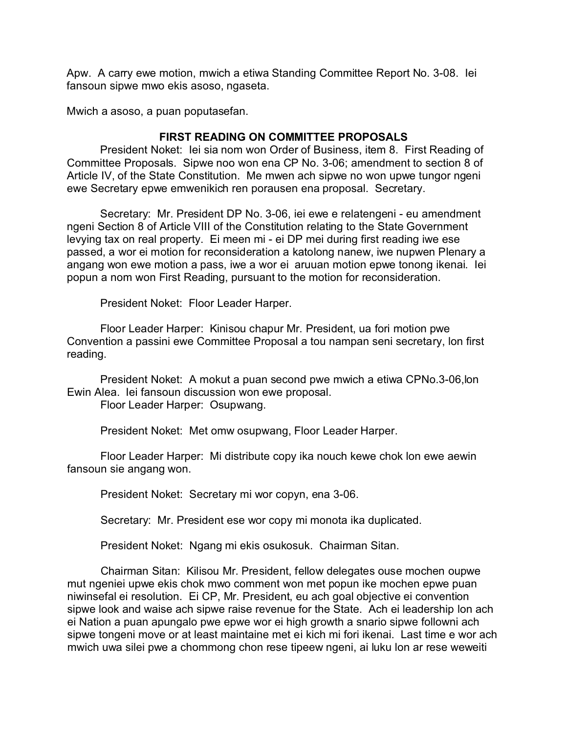Apw. A carry ewe motion, mwich a etiwa Standing Committee Report No. 3-08. Iei fansoun sipwe mwo ekis asoso, ngaseta.

Mwich a asoso, a puan poputasefan.

## **FIRST READING ON COMMITTEE PROPOSALS**

President Noket: Iei sia nom won Order of Business, item 8. First Reading of Committee Proposals. Sipwe noo won ena CP No. 3-06; amendment to section 8 of Article IV, of the State Constitution. Me mwen ach sipwe no won upwe tungor ngeni ewe Secretary epwe emwenikich ren porausen ena proposal. Secretary.

Secretary: Mr. President DP No. 3-06, iei ewe e relatengeni - eu amendment ngeni Section 8 of Article VIII of the Constitution relating to the State Government levying tax on real property. Ei meen mi - ei DP mei during first reading iwe ese passed, a wor ei motion for reconsideration a katolong nanew, iwe nupwen Plenary a angang won ewe motion a pass, iwe a wor ei aruuan motion epwe tonong ikenai. Iei popun a nom won First Reading, pursuant to the motion for reconsideration.

President Noket: Floor Leader Harper.

Floor Leader Harper: Kinisou chapur Mr. President, ua fori motion pwe Convention a passini ewe Committee Proposal a tou nampan seni secretary, lon first reading.

President Noket: A mokut a puan second pwe mwich a etiwa CPNo.3-06,lon Ewin Alea. Iei fansoun discussion won ewe proposal.

Floor Leader Harper: Osupwang.

President Noket: Met omw osupwang, Floor Leader Harper.

Floor Leader Harper: Mi distribute copy ika nouch kewe chok lon ewe aewin fansoun sie angang won.

President Noket: Secretary mi wor copyn, ena 3-06.

Secretary: Mr. President ese wor copy mi monota ika duplicated.

President Noket: Ngang mi ekis osukosuk. Chairman Sitan.

Chairman Sitan: Kilisou Mr. President, fellow delegates ouse mochen oupwe mut ngeniei upwe ekis chok mwo comment won met popun ike mochen epwe puan niwinsefal ei resolution. Ei CP, Mr. President, eu ach goal objective ei convention sipwe look and waise ach sipwe raise revenue for the State. Ach ei leadership lon ach ei Nation a puan apungalo pwe epwe wor ei high growth a snario sipwe followni ach sipwe tongeni move or at least maintaine met ei kich mi fori ikenai. Last time e wor ach mwich uwa silei pwe a chommong chon rese tipeew ngeni, ai luku lon ar rese weweiti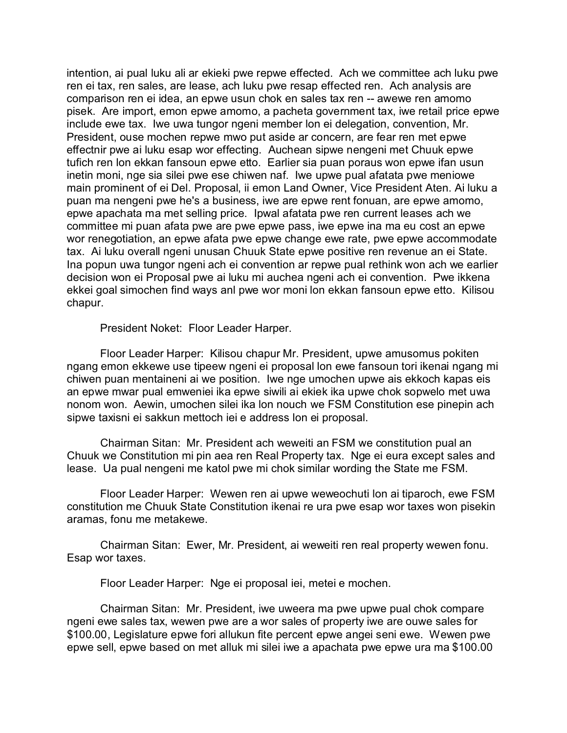intention, ai pual luku ali ar ekieki pwe repwe effected. Ach we committee ach luku pwe ren ei tax, ren sales, are lease, ach luku pwe resap effected ren. Ach analysis are comparison ren ei idea, an epwe usun chok en sales tax ren -- awewe ren amomo pisek. Are import, emon epwe amomo, a pacheta government tax, iwe retail price epwe include ewe tax. Iwe uwa tungor ngeni member lon ei delegation, convention, Mr. President, ouse mochen repwe mwo put aside ar concern, are fear ren met epwe effectnir pwe ai luku esap wor effecting. Auchean sipwe nengeni met Chuuk epwe tufich ren lon ekkan fansoun epwe etto. Earlier sia puan poraus won epwe ifan usun inetin moni, nge sia silei pwe ese chiwen naf. Iwe upwe pual afatata pwe meniowe main prominent of ei Del. Proposal, ii emon Land Owner, Vice President Aten. Ai luku a puan ma nengeni pwe he's a business, iwe are epwe rent fonuan, are epwe amomo, epwe apachata ma met selling price. Ipwal afatata pwe ren current leases ach we committee mi puan afata pwe are pwe epwe pass, iwe epwe ina ma eu cost an epwe wor renegotiation, an epwe afata pwe epwe change ewe rate, pwe epwe accommodate tax. Ai luku overall ngeni unusan Chuuk State epwe positive ren revenue an ei State. Ina popun uwa tungor ngeni ach ei convention ar repwe pual rethink won ach we earlier decision won ei Proposal pwe ai luku mi auchea ngeni ach ei convention. Pwe ikkena ekkei goal simochen find ways anl pwe wor moni lon ekkan fansoun epwe etto. Kilisou chapur.

President Noket: Floor Leader Harper.

Floor Leader Harper: Kilisou chapur Mr. President, upwe amusomus pokiten ngang emon ekkewe use tipeew ngeni ei proposal lon ewe fansoun tori ikenai ngang mi chiwen puan mentaineni ai we position. Iwe nge umochen upwe ais ekkoch kapas eis an epwe mwar pual emweniei ika epwe siwili ai ekiek ika upwe chok sopwelo met uwa nonom won. Aewin, umochen silei ika lon nouch we FSM Constitution ese pinepin ach sipwe taxisni ei sakkun mettoch iei e address lon ei proposal.

Chairman Sitan: Mr. President ach weweiti an FSM we constitution pual an Chuuk we Constitution mi pin aea ren Real Property tax. Nge ei eura except sales and lease. Ua pual nengeni me katol pwe mi chok similar wording the State me FSM.

Floor Leader Harper: Wewen ren ai upwe weweochuti lon ai tiparoch, ewe FSM constitution me Chuuk State Constitution ikenai re ura pwe esap wor taxes won pisekin aramas, fonu me metakewe.

Chairman Sitan: Ewer, Mr. President, ai weweiti ren real property wewen fonu. Esap wor taxes.

Floor Leader Harper: Nge ei proposal iei, metei e mochen.

Chairman Sitan: Mr. President, iwe uweera ma pwe upwe pual chok compare ngeni ewe sales tax, wewen pwe are a wor sales of property iwe are ouwe sales for \$100.00, Legislature epwe fori allukun fite percent epwe angei seni ewe. Wewen pwe epwe sell, epwe based on met alluk mi silei iwe a apachata pwe epwe ura ma \$100.00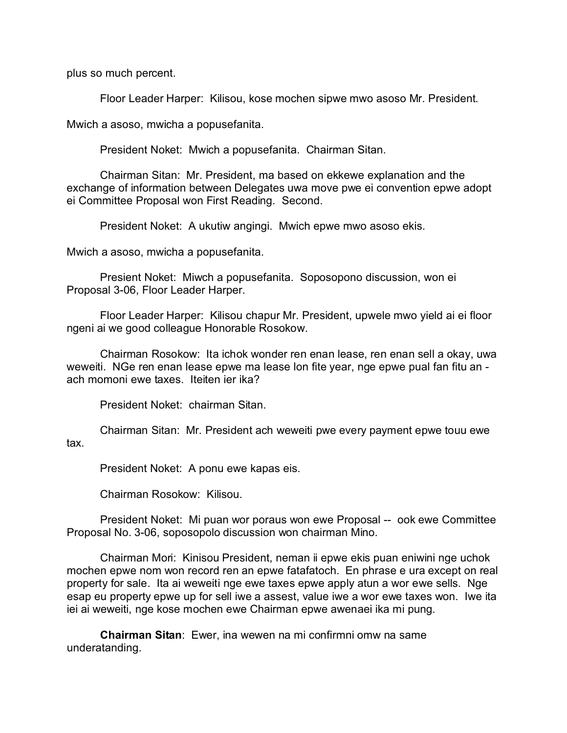plus so much percent.

Floor Leader Harper: Kilisou, kose mochen sipwe mwo asoso Mr. President.

Mwich a asoso, mwicha a popusefanita.

President Noket: Mwich a popusefanita. Chairman Sitan.

Chairman Sitan: Mr. President, ma based on ekkewe explanation and the exchange of information between Delegates uwa move pwe ei convention epwe adopt ei Committee Proposal won First Reading. Second.

President Noket: A ukutiw angingi. Mwich epwe mwo asoso ekis.

Mwich a asoso, mwicha a popusefanita.

Presient Noket: Miwch a popusefanita. Soposopono discussion, won ei Proposal 3-06, Floor Leader Harper.

Floor Leader Harper: Kilisou chapur Mr. President, upwele mwo yield ai ei floor ngeni ai we good colleague Honorable Rosokow.

Chairman Rosokow: Ita ichok wonder ren enan lease, ren enan sell a okay, uwa weweiti. NGe ren enan lease epwe ma lease lon fite year, nge epwe pual fan fitu an ach momoni ewe taxes. Iteiten ier ika?

President Noket: chairman Sitan.

Chairman Sitan: Mr. President ach weweiti pwe every payment epwe touu ewe tax.

President Noket: A ponu ewe kapas eis.

Chairman Rosokow: Kilisou.

President Noket: Mi puan wor poraus won ewe Proposal -- ook ewe Committee Proposal No. 3-06, soposopolo discussion won chairman Mino.

Chairman Mori: Kinisou President, neman ii epwe ekis puan eniwini nge uchok mochen epwe nom won record ren an epwe fatafatoch. En phrase e ura except on real property for sale. Ita ai weweiti nge ewe taxes epwe apply atun a wor ewe sells. Nge esap eu property epwe up for sell iwe a assest, value iwe a wor ewe taxes won. Iwe ita iei ai weweiti, nge kose mochen ewe Chairman epwe awenaei ika mi pung.

**Chairman Sitan**: Ewer, ina wewen na mi confirmni omw na same underatanding.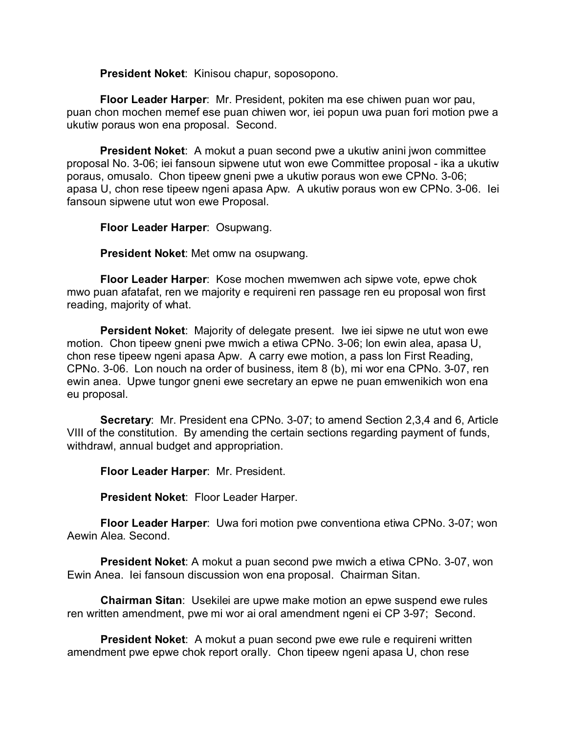**President Noket**: Kinisou chapur, soposopono.

**Floor Leader Harper**: Mr. President, pokiten ma ese chiwen puan wor pau, puan chon mochen memef ese puan chiwen wor, iei popun uwa puan fori motion pwe a ukutiw poraus won ena proposal. Second.

**President Noket**: A mokut a puan second pwe a ukutiw anini jwon committee proposal No. 3-06; iei fansoun sipwene utut won ewe Committee proposal - ika a ukutiw poraus, omusalo. Chon tipeew gneni pwe a ukutiw poraus won ewe CPNo. 3-06; apasa U, chon rese tipeew ngeni apasa Apw. A ukutiw poraus won ew CPNo. 3-06. Iei fansoun sipwene utut won ewe Proposal.

**Floor Leader Harper**: Osupwang.

**President Noket**: Met omw na osupwang.

**Floor Leader Harper**: Kose mochen mwemwen ach sipwe vote, epwe chok mwo puan afatafat, ren we majority e requireni ren passage ren eu proposal won first reading, majority of what.

**Persident Noket**: Majority of delegate present. Iwe iei sipwe ne utut won ewe motion. Chon tipeew gneni pwe mwich a etiwa CPNo. 3-06; lon ewin alea, apasa U, chon rese tipeew ngeni apasa Apw. A carry ewe motion, a pass lon First Reading, CPNo. 3-06. Lon nouch na order of business, item 8 (b), mi wor ena CPNo. 3-07, ren ewin anea. Upwe tungor gneni ewe secretary an epwe ne puan emwenikich won ena eu proposal.

**Secretary**: Mr. President ena CPNo. 3-07; to amend Section 2,3,4 and 6, Article VIII of the constitution. By amending the certain sections regarding payment of funds, withdrawl, annual budget and appropriation.

**Floor Leader Harper**: Mr. President.

**President Noket**: Floor Leader Harper.

**Floor Leader Harper**: Uwa fori motion pwe conventiona etiwa CPNo. 3-07; won Aewin Alea. Second.

**President Noket**: A mokut a puan second pwe mwich a etiwa CPNo. 3-07, won Ewin Anea. Iei fansoun discussion won ena proposal. Chairman Sitan.

**Chairman Sitan**: Usekilei are upwe make motion an epwe suspend ewe rules ren written amendment, pwe mi wor ai oral amendment ngeni ei CP 3-97; Second.

**President Noket**: A mokut a puan second pwe ewe rule e requireni written amendment pwe epwe chok report orally. Chon tipeew ngeni apasa U, chon rese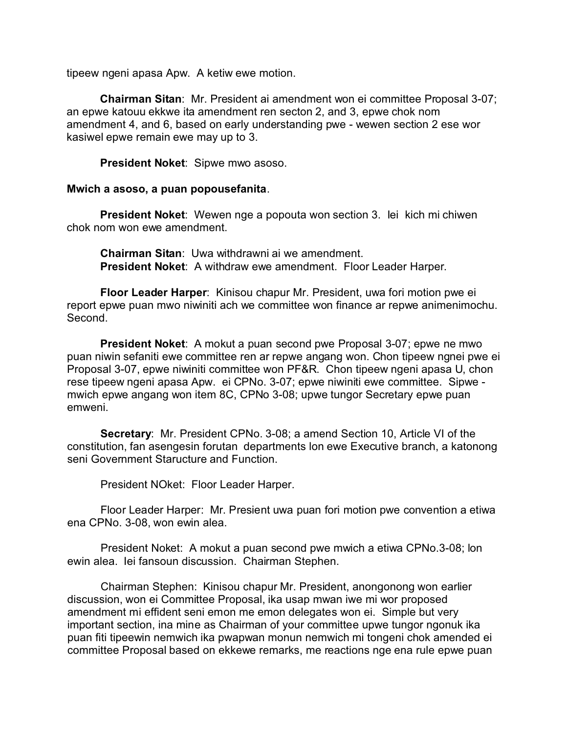tipeew ngeni apasa Apw. A ketiw ewe motion.

**Chairman Sitan**: Mr. President ai amendment won ei committee Proposal 3-07; an epwe katouu ekkwe ita amendment ren secton 2, and 3, epwe chok nom amendment 4, and 6, based on early understanding pwe - wewen section 2 ese wor kasiwel epwe remain ewe may up to 3.

**President Noket**: Sipwe mwo asoso.

#### **Mwich a asoso, a puan popousefanita**.

**President Noket**: Wewen nge a popouta won section 3. Iei kich mi chiwen chok nom won ewe amendment.

**Chairman Sitan**: Uwa withdrawni ai we amendment. **President Noket**: A withdraw ewe amendment. Floor Leader Harper.

**Floor Leader Harper**: Kinisou chapur Mr. President, uwa fori motion pwe ei report epwe puan mwo niwiniti ach we committee won finance ar repwe animenimochu. Second.

**President Noket**: A mokut a puan second pwe Proposal 3-07; epwe ne mwo puan niwin sefaniti ewe committee ren ar repwe angang won. Chon tipeew ngnei pwe ei Proposal 3-07, epwe niwiniti committee won PF&R. Chon tipeew ngeni apasa U, chon rese tipeew ngeni apasa Apw. ei CPNo. 3-07; epwe niwiniti ewe committee. Sipwe mwich epwe angang won item 8C, CPNo 3-08; upwe tungor Secretary epwe puan emweni.

**Secretary**: Mr. President CPNo. 3-08; a amend Section 10, Article VI of the constitution, fan asengesin forutan departments lon ewe Executive branch, a katonong seni Government Staructure and Function.

President NOket: Floor Leader Harper.

Floor Leader Harper: Mr. Presient uwa puan fori motion pwe convention a etiwa ena CPNo. 3-08, won ewin alea.

President Noket: A mokut a puan second pwe mwich a etiwa CPNo.3-08; lon ewin alea. Iei fansoun discussion. Chairman Stephen.

Chairman Stephen: Kinisou chapur Mr. President, anongonong won earlier discussion, won ei Committee Proposal, ika usap mwan iwe mi wor proposed amendment mi effident seni emon me emon delegates won ei. Simple but very important section, ina mine as Chairman of your committee upwe tungor ngonuk ika puan fiti tipeewin nemwich ika pwapwan monun nemwich mi tongeni chok amended ei committee Proposal based on ekkewe remarks, me reactions nge ena rule epwe puan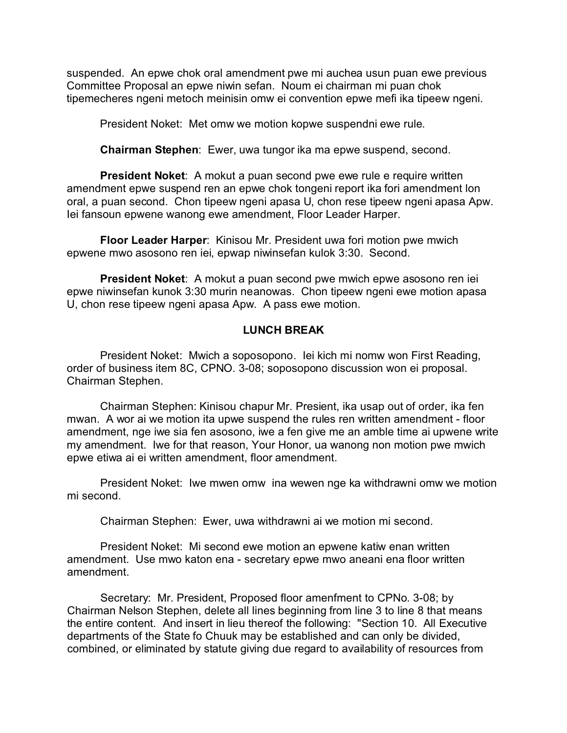suspended. An epwe chok oral amendment pwe mi auchea usun puan ewe previous Committee Proposal an epwe niwin sefan. Noum ei chairman mi puan chok tipemecheres ngeni metoch meinisin omw ei convention epwe mefi ika tipeew ngeni.

President Noket: Met omw we motion kopwe suspendni ewe rule.

**Chairman Stephen**: Ewer, uwa tungor ika ma epwe suspend, second.

**President Noket:** A mokut a puan second pwe ewe rule e require written amendment epwe suspend ren an epwe chok tongeni report ika fori amendment lon oral, a puan second. Chon tipeew ngeni apasa U, chon rese tipeew ngeni apasa Apw. Iei fansoun epwene wanong ewe amendment, Floor Leader Harper.

**Floor Leader Harper**: Kinisou Mr. President uwa fori motion pwe mwich epwene mwo asosono ren iei, epwap niwinsefan kulok 3:30. Second.

**President Noket**: A mokut a puan second pwe mwich epwe asosono ren iei epwe niwinsefan kunok 3:30 murin neanowas. Chon tipeew ngeni ewe motion apasa U, chon rese tipeew ngeni apasa Apw. A pass ewe motion.

#### **LUNCH BREAK**

President Noket: Mwich a soposopono. Iei kich mi nomw won First Reading, order of business item 8C, CPNO. 3-08; soposopono discussion won ei proposal. Chairman Stephen.

Chairman Stephen: Kinisou chapur Mr. Presient, ika usap out of order, ika fen mwan. A wor ai we motion ita upwe suspend the rules ren written amendment - floor amendment, nge iwe sia fen asosono, iwe a fen give me an amble time ai upwene write my amendment. Iwe for that reason, Your Honor, ua wanong non motion pwe mwich epwe etiwa ai ei written amendment, floor amendment.

President Noket: Iwe mwen omw ina wewen nge ka withdrawni omw we motion mi second.

Chairman Stephen: Ewer, uwa withdrawni ai we motion mi second.

President Noket: Mi second ewe motion an epwene katiw enan written amendment. Use mwo katon ena - secretary epwe mwo aneani ena floor written amendment.

Secretary: Mr. President, Proposed floor amenfment to CPNo. 3-08; by Chairman Nelson Stephen, delete all lines beginning from line 3 to line 8 that means the entire content. And insert in lieu thereof the following: "Section 10. All Executive departments of the State fo Chuuk may be established and can only be divided, combined, or eliminated by statute giving due regard to availability of resources from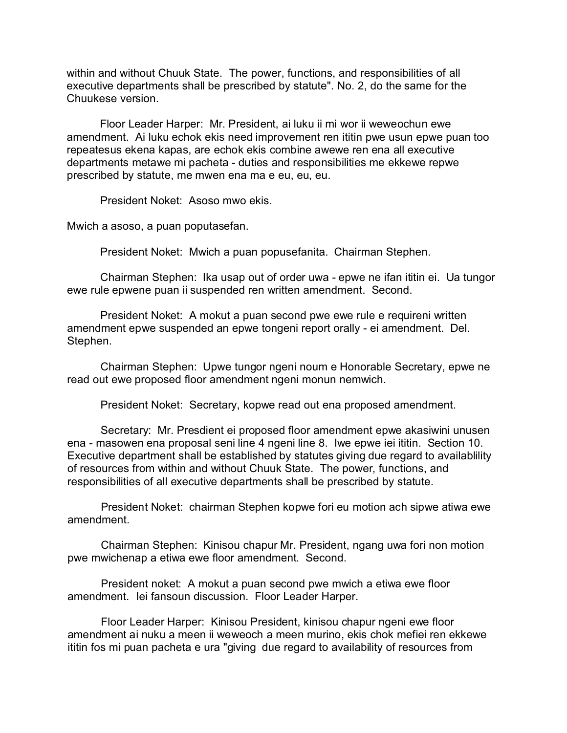within and without Chuuk State. The power, functions, and responsibilities of all executive departments shall be prescribed by statute". No. 2, do the same for the Chuukese version.

Floor Leader Harper: Mr. President, ai luku ii mi wor ii weweochun ewe amendment. Ai luku echok ekis need improvement ren ititin pwe usun epwe puan too repeatesus ekena kapas, are echok ekis combine awewe ren ena all executive departments metawe mi pacheta - duties and responsibilities me ekkewe repwe prescribed by statute, me mwen ena ma e eu, eu, eu.

President Noket: Asoso mwo ekis.

Mwich a asoso, a puan poputasefan.

President Noket: Mwich a puan popusefanita. Chairman Stephen.

Chairman Stephen: Ika usap out of order uwa - epwe ne ifan ititin ei. Ua tungor ewe rule epwene puan ii suspended ren written amendment. Second.

President Noket: A mokut a puan second pwe ewe rule e requireni written amendment epwe suspended an epwe tongeni report orally - ei amendment. Del. Stephen.

Chairman Stephen: Upwe tungor ngeni noum e Honorable Secretary, epwe ne read out ewe proposed floor amendment ngeni monun nemwich.

President Noket: Secretary, kopwe read out ena proposed amendment.

Secretary: Mr. Presdient ei proposed floor amendment epwe akasiwini unusen ena - masowen ena proposal seni line 4 ngeni line 8. Iwe epwe iei ititin. Section 10. Executive department shall be established by statutes giving due regard to availablility of resources from within and without Chuuk State. The power, functions, and responsibilities of all executive departments shall be prescribed by statute.

President Noket: chairman Stephen kopwe fori eu motion ach sipwe atiwa ewe amendment.

Chairman Stephen: Kinisou chapur Mr. President, ngang uwa fori non motion pwe mwichenap a etiwa ewe floor amendment. Second.

President noket: A mokut a puan second pwe mwich a etiwa ewe floor amendment. Iei fansoun discussion. Floor Leader Harper.

Floor Leader Harper: Kinisou President, kinisou chapur ngeni ewe floor amendment ai nuku a meen ii weweoch a meen murino, ekis chok mefiei ren ekkewe ititin fos mi puan pacheta e ura "giving due regard to availability of resources from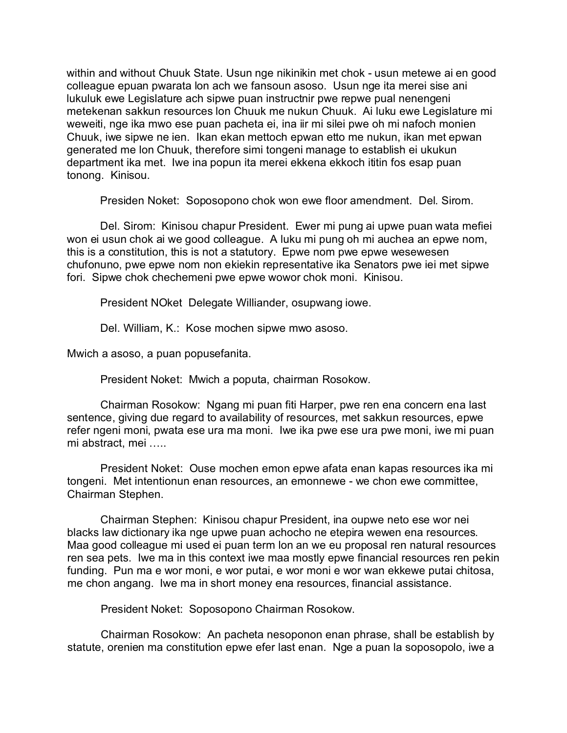within and without Chuuk State. Usun nge nikinikin met chok - usun metewe ai en good colleague epuan pwarata lon ach we fansoun asoso. Usun nge ita merei sise ani lukuluk ewe Legislature ach sipwe puan instructnir pwe repwe pual nenengeni metekenan sakkun resources lon Chuuk me nukun Chuuk. Ai luku ewe Legislature mi weweiti, nge ika mwo ese puan pacheta ei, ina iir mi silei pwe oh mi nafoch monien Chuuk, iwe sipwe ne ien. Ikan ekan mettoch epwan etto me nukun, ikan met epwan generated me lon Chuuk, therefore simi tongeni manage to establish ei ukukun department ika met. Iwe ina popun ita merei ekkena ekkoch ititin fos esap puan tonong. Kinisou.

Presiden Noket: Soposopono chok won ewe floor amendment. Del. Sirom.

Del. Sirom: Kinisou chapur President. Ewer mi pung ai upwe puan wata mefiei won ei usun chok ai we good colleague. A luku mi pung oh mi auchea an epwe nom, this is a constitution, this is not a statutory. Epwe nom pwe epwe wesewesen chufonuno, pwe epwe nom non ekiekin representative ika Senators pwe iei met sipwe fori. Sipwe chok chechemeni pwe epwe wowor chok moni. Kinisou.

President NOket Delegate Williander, osupwang iowe.

Del. William, K.: Kose mochen sipwe mwo asoso.

Mwich a asoso, a puan popusefanita.

President Noket: Mwich a poputa, chairman Rosokow.

Chairman Rosokow: Ngang mi puan fiti Harper, pwe ren ena concern ena last sentence, giving due regard to availability of resources, met sakkun resources, epwe refer ngeni moni, pwata ese ura ma moni. Iwe ika pwe ese ura pwe moni, iwe mi puan mi abstract, mei …..

President Noket: Ouse mochen emon epwe afata enan kapas resources ika mi tongeni. Met intentionun enan resources, an emonnewe - we chon ewe committee, Chairman Stephen.

Chairman Stephen: Kinisou chapur President, ina oupwe neto ese wor nei blacks law dictionary ika nge upwe puan achocho ne etepira wewen ena resources. Maa good colleague mi used ei puan term lon an we eu proposal ren natural resources ren sea pets. Iwe ma in this context iwe maa mostly epwe financial resources ren pekin funding. Pun ma e wor moni, e wor putai, e wor moni e wor wan ekkewe putai chitosa, me chon angang. Iwe ma in short money ena resources, financial assistance.

President Noket: Soposopono Chairman Rosokow.

Chairman Rosokow: An pacheta nesoponon enan phrase, shall be establish by statute, orenien ma constitution epwe efer last enan. Nge a puan la soposopolo, iwe a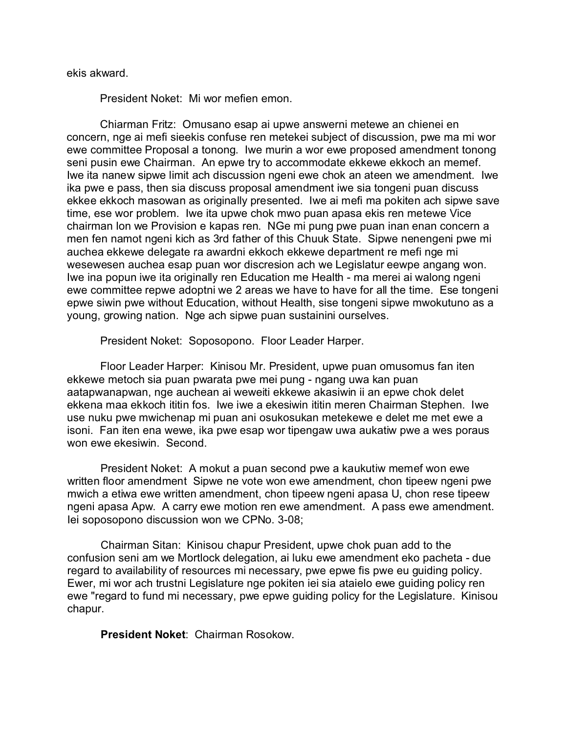ekis akward.

President Noket: Mi wor mefien emon.

Chiarman Fritz: Omusano esap ai upwe answerni metewe an chienei en concern, nge ai mefi sieekis confuse ren metekei subject of discussion, pwe ma mi wor ewe committee Proposal a tonong. Iwe murin a wor ewe proposed amendment tonong seni pusin ewe Chairman. An epwe try to accommodate ekkewe ekkoch an memef. Iwe ita nanew sipwe limit ach discussion ngeni ewe chok an ateen we amendment. Iwe ika pwe e pass, then sia discuss proposal amendment iwe sia tongeni puan discuss ekkee ekkoch masowan as originally presented. Iwe ai mefi ma pokiten ach sipwe save time, ese wor problem. Iwe ita upwe chok mwo puan apasa ekis ren metewe Vice chairman lon we Provision e kapas ren. NGe mi pung pwe puan inan enan concern a men fen namot ngeni kich as 3rd father of this Chuuk State. Sipwe nenengeni pwe mi auchea ekkewe delegate ra awardni ekkoch ekkewe department re mefi nge mi wesewesen auchea esap puan wor discresion ach we Legislatur eewpe angang won. Iwe ina popun iwe ita originally ren Education me Health - ma merei ai walong ngeni ewe committee repwe adoptni we 2 areas we have to have for all the time. Ese tongeni epwe siwin pwe without Education, without Health, sise tongeni sipwe mwokutuno as a young, growing nation. Nge ach sipwe puan sustainini ourselves.

President Noket: Soposopono. Floor Leader Harper.

Floor Leader Harper: Kinisou Mr. President, upwe puan omusomus fan iten ekkewe metoch sia puan pwarata pwe mei pung - ngang uwa kan puan aatapwanapwan, nge auchean ai weweiti ekkewe akasiwin ii an epwe chok delet ekkena maa ekkoch ititin fos. Iwe iwe a ekesiwin ititin meren Chairman Stephen. Iwe use nuku pwe mwichenap mi puan ani osukosukan metekewe e delet me met ewe a isoni. Fan iten ena wewe, ika pwe esap wor tipengaw uwa aukatiw pwe a wes poraus won ewe ekesiwin. Second.

President Noket: A mokut a puan second pwe a kaukutiw memef won ewe written floor amendment Sipwe ne vote won ewe amendment, chon tipeew ngeni pwe mwich a etiwa ewe written amendment, chon tipeew ngeni apasa U, chon rese tipeew ngeni apasa Apw. A carry ewe motion ren ewe amendment. A pass ewe amendment. Iei soposopono discussion won we CPNo. 3-08;

Chairman Sitan: Kinisou chapur President, upwe chok puan add to the confusion seni am we Mortlock delegation, ai luku ewe amendment eko pacheta - due regard to availability of resources mi necessary, pwe epwe fis pwe eu guiding policy. Ewer, mi wor ach trustni Legislature nge pokiten iei sia ataielo ewe guiding policy ren ewe "regard to fund mi necessary, pwe epwe guiding policy for the Legislature. Kinisou chapur.

**President Noket**: Chairman Rosokow.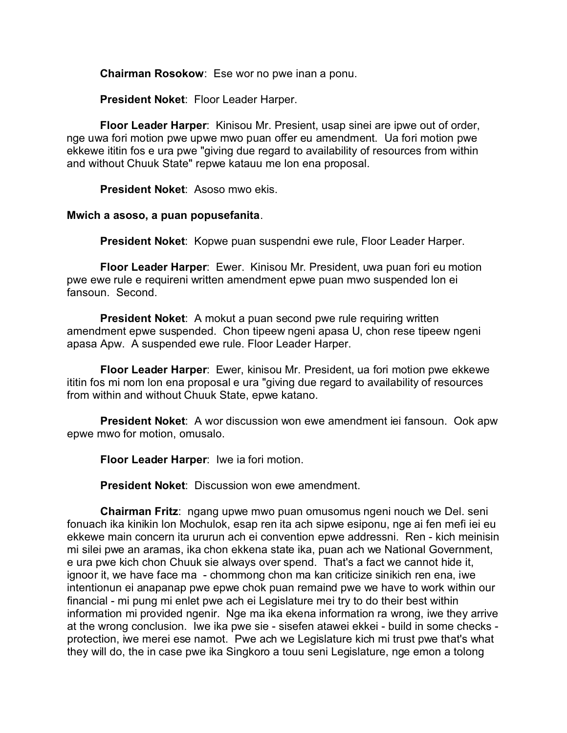**Chairman Rosokow**: Ese wor no pwe inan a ponu.

**President Noket**: Floor Leader Harper.

**Floor Leader Harper**: Kinisou Mr. Presient, usap sinei are ipwe out of order, nge uwa fori motion pwe upwe mwo puan offer eu amendment. Ua fori motion pwe ekkewe ititin fos e ura pwe "giving due regard to availability of resources from within and without Chuuk State" repwe katauu me lon ena proposal.

**President Noket**: Asoso mwo ekis.

## **Mwich a asoso, a puan popusefanita**.

**President Noket**: Kopwe puan suspendni ewe rule, Floor Leader Harper.

**Floor Leader Harper**: Ewer. Kinisou Mr. President, uwa puan fori eu motion pwe ewe rule e requireni written amendment epwe puan mwo suspended lon ei fansoun. Second.

**President Noket:** A mokut a puan second pwe rule requiring written amendment epwe suspended. Chon tipeew ngeni apasa U, chon rese tipeew ngeni apasa Apw. A suspended ewe rule. Floor Leader Harper.

**Floor Leader Harper**: Ewer, kinisou Mr. President, ua fori motion pwe ekkewe ititin fos mi nom lon ena proposal e ura "giving due regard to availability of resources from within and without Chuuk State, epwe katano.

**President Noket**: A wor discussion won ewe amendment iei fansoun. Ook apw epwe mwo for motion, omusalo.

**Floor Leader Harper**: Iwe ia fori motion.

**President Noket**: Discussion won ewe amendment.

**Chairman Fritz**: ngang upwe mwo puan omusomus ngeni nouch we Del. seni fonuach ika kinikin lon Mochulok, esap ren ita ach sipwe esiponu, nge ai fen mefi iei eu ekkewe main concern ita ururun ach ei convention epwe addressni. Ren - kich meinisin mi silei pwe an aramas, ika chon ekkena state ika, puan ach we National Government, e ura pwe kich chon Chuuk sie always over spend. That's a fact we cannot hide it, ignoor it, we have face ma - chommong chon ma kan criticize sinikich ren ena, iwe intentionun ei anapanap pwe epwe chok puan remaind pwe we have to work within our financial - mi pung mi enlet pwe ach ei Legislature mei try to do their best within information mi provided ngenir. Nge ma ika ekena information ra wrong, iwe they arrive at the wrong conclusion. Iwe ika pwe sie - sisefen atawei ekkei - build in some checks protection, iwe merei ese namot. Pwe ach we Legislature kich mi trust pwe that's what they will do, the in case pwe ika Singkoro a touu seni Legislature, nge emon a tolong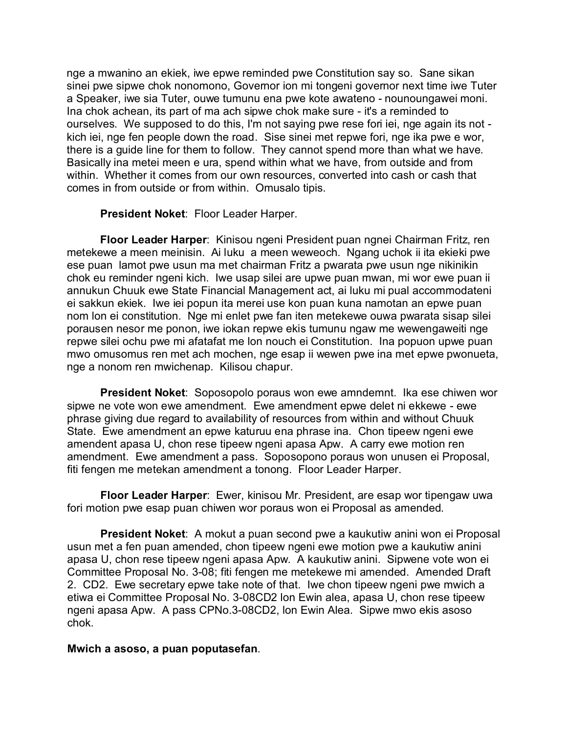nge a mwanino an ekiek, iwe epwe reminded pwe Constitution say so. Sane sikan sinei pwe sipwe chok nonomono, Governor ion mi tongeni governor next time iwe Tuter a Speaker, iwe sia Tuter, ouwe tumunu ena pwe kote awateno - nounoungawei moni. Ina chok achean, its part of ma ach sipwe chok make sure - it's a reminded to ourselves. We supposed to do this, I'm not saying pwe rese fori iei, nge again its not kich iei, nge fen people down the road. Sise sinei met repwe fori, nge ika pwe e wor, there is a guide line for them to follow. They cannot spend more than what we have. Basically ina metei meen e ura, spend within what we have, from outside and from within. Whether it comes from our own resources, converted into cash or cash that comes in from outside or from within. Omusalo tipis.

**President Noket**: Floor Leader Harper.

**Floor Leader Harper**: Kinisou ngeni President puan ngnei Chairman Fritz, ren metekewe a meen meinisin. Ai luku a meen weweoch. Ngang uchok ii ita ekieki pwe ese puan lamot pwe usun ma met chairman Fritz a pwarata pwe usun nge nikinikin chok eu reminder ngeni kich. Iwe usap silei are upwe puan mwan, mi wor ewe puan ii annukun Chuuk ewe State Financial Management act, ai luku mi pual accommodateni ei sakkun ekiek. Iwe iei popun ita merei use kon puan kuna namotan an epwe puan nom lon ei constitution. Nge mi enlet pwe fan iten metekewe ouwa pwarata sisap silei porausen nesor me ponon, iwe iokan repwe ekis tumunu ngaw me wewengaweiti nge repwe silei ochu pwe mi afatafat me lon nouch ei Constitution. Ina popuon upwe puan mwo omusomus ren met ach mochen, nge esap ii wewen pwe ina met epwe pwonueta, nge a nonom ren mwichenap. Kilisou chapur.

**President Noket**: Soposopolo poraus won ewe amndemnt. Ika ese chiwen wor sipwe ne vote won ewe amendment. Ewe amendment epwe delet ni ekkewe - ewe phrase giving due regard to availability of resources from within and without Chuuk State. Ewe amendment an epwe katuruu ena phrase ina. Chon tipeew ngeni ewe amendent apasa U, chon rese tipeew ngeni apasa Apw. A carry ewe motion ren amendment. Ewe amendment a pass. Soposopono poraus won unusen ei Proposal, fiti fengen me metekan amendment a tonong. Floor Leader Harper.

**Floor Leader Harper**: Ewer, kinisou Mr. President, are esap wor tipengaw uwa fori motion pwe esap puan chiwen wor poraus won ei Proposal as amended.

**President Noket**: A mokut a puan second pwe a kaukutiw anini won ei Proposal usun met a fen puan amended, chon tipeew ngeni ewe motion pwe a kaukutiw anini apasa U, chon rese tipeew ngeni apasa Apw. A kaukutiw anini. Sipwene vote won ei Committee Proposal No. 3-08; fiti fengen me metekewe mi amended. Amended Draft 2. CD2. Ewe secretary epwe take note of that. Iwe chon tipeew ngeni pwe mwich a etiwa ei Committee Proposal No. 3-08CD2 lon Ewin alea, apasa U, chon rese tipeew ngeni apasa Apw. A pass CPNo.3-08CD2, lon Ewin Alea. Sipwe mwo ekis asoso chok.

#### **Mwich a asoso, a puan poputasefan**.